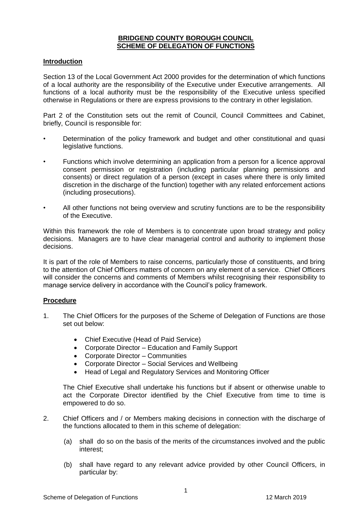#### **BRIDGEND COUNTY BOROUGH COUNCIL SCHEME OF DELEGATION OF FUNCTIONS**

#### **Introduction**

Section 13 of the Local Government Act 2000 provides for the determination of which functions of a local authority are the responsibility of the Executive under Executive arrangements. All functions of a local authority must be the responsibility of the Executive unless specified otherwise in Regulations or there are express provisions to the contrary in other legislation.

Part 2 of the Constitution sets out the remit of Council, Council Committees and Cabinet, briefly, Council is responsible for:

- Determination of the policy framework and budget and other constitutional and quasi legislative functions.
- Functions which involve determining an application from a person for a licence approval consent permission or registration (including particular planning permissions and consents) or direct regulation of a person (except in cases where there is only limited discretion in the discharge of the function) together with any related enforcement actions (including prosecutions).
- All other functions not being overview and scrutiny functions are to be the responsibility of the Executive.

Within this framework the role of Members is to concentrate upon broad strategy and policy decisions. Managers are to have clear managerial control and authority to implement those decisions.

It is part of the role of Members to raise concerns, particularly those of constituents, and bring to the attention of Chief Officers matters of concern on any element of a service. Chief Officers will consider the concerns and comments of Members whilst recognising their responsibility to manage service delivery in accordance with the Council's policy framework.

#### **Procedure**

- 1. The Chief Officers for the purposes of the Scheme of Delegation of Functions are those set out below:
	- Chief Executive (Head of Paid Service)
	- Corporate Director Education and Family Support
	- Corporate Director Communities
	- Corporate Director Social Services and Wellbeing
	- Head of Legal and Regulatory Services and Monitoring Officer

The Chief Executive shall undertake his functions but if absent or otherwise unable to act the Corporate Director identified by the Chief Executive from time to time is empowered to do so.

- 2. Chief Officers and / or Members making decisions in connection with the discharge of the functions allocated to them in this scheme of delegation:
	- (a) shall do so on the basis of the merits of the circumstances involved and the public interest;
	- (b) shall have regard to any relevant advice provided by other Council Officers, in particular by: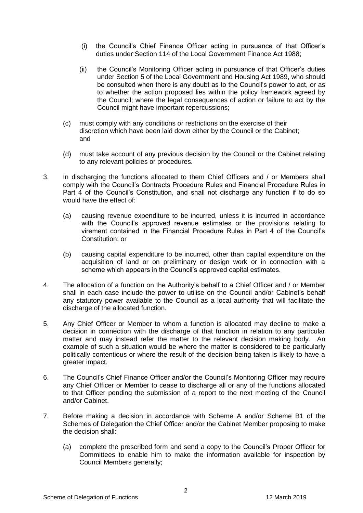- (i) the Council's Chief Finance Officer acting in pursuance of that Officer's duties under Section 114 of the Local Government Finance Act 1988;
- (ii) the Council's Monitoring Officer acting in pursuance of that Officer's duties under Section 5 of the Local Government and Housing Act 1989, who should be consulted when there is any doubt as to the Council's power to act, or as to whether the action proposed lies within the policy framework agreed by the Council; where the legal consequences of action or failure to act by the Council might have important repercussions;
- (c) must comply with any conditions or restrictions on the exercise of their discretion which have been laid down either by the Council or the Cabinet; and
- (d) must take account of any previous decision by the Council or the Cabinet relating to any relevant policies or procedures.
- 3. In discharging the functions allocated to them Chief Officers and / or Members shall comply with the Council's Contracts Procedure Rules and Financial Procedure Rules in Part 4 of the Council's Constitution, and shall not discharge any function if to do so would have the effect of:
	- (a) causing revenue expenditure to be incurred, unless it is incurred in accordance with the Council's approved revenue estimates or the provisions relating to virement contained in the Financial Procedure Rules in Part 4 of the Council's Constitution; or
	- (b) causing capital expenditure to be incurred, other than capital expenditure on the acquisition of land or on preliminary or design work or in connection with a scheme which appears in the Council's approved capital estimates.
- 4. The allocation of a function on the Authority's behalf to a Chief Officer and / or Member shall in each case include the power to utilise on the Council and/or Cabinet's behalf any statutory power available to the Council as a local authority that will facilitate the discharge of the allocated function.
- 5. Any Chief Officer or Member to whom a function is allocated may decline to make a decision in connection with the discharge of that function in relation to any particular matter and may instead refer the matter to the relevant decision making body. An example of such a situation would be where the matter is considered to be particularly politically contentious or where the result of the decision being taken is likely to have a greater impact.
- 6. The Council's Chief Finance Officer and/or the Council's Monitoring Officer may require any Chief Officer or Member to cease to discharge all or any of the functions allocated to that Officer pending the submission of a report to the next meeting of the Council and/or Cabinet.
- 7. Before making a decision in accordance with Scheme A and/or Scheme B1 of the Schemes of Delegation the Chief Officer and/or the Cabinet Member proposing to make the decision shall:
	- (a) complete the prescribed form and send a copy to the Council's Proper Officer for Committees to enable him to make the information available for inspection by Council Members generally;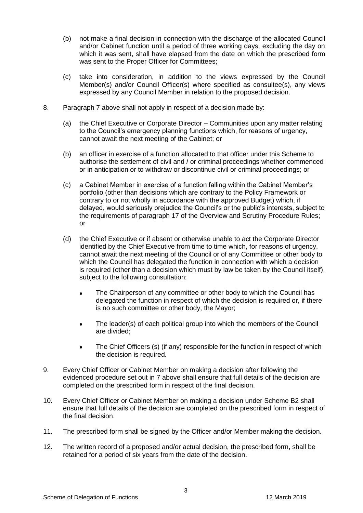- (b) not make a final decision in connection with the discharge of the allocated Council and/or Cabinet function until a period of three working days, excluding the day on which it was sent, shall have elapsed from the date on which the prescribed form was sent to the Proper Officer for Committees;
- (c) take into consideration, in addition to the views expressed by the Council Member(s) and/or Council Officer(s) where specified as consultee(s), any views expressed by any Council Member in relation to the proposed decision.
- 8. Paragraph 7 above shall not apply in respect of a decision made by:
	- (a) the Chief Executive or Corporate Director Communities upon any matter relating to the Council's emergency planning functions which, for reasons of urgency, cannot await the next meeting of the Cabinet; or
	- (b) an officer in exercise of a function allocated to that officer under this Scheme to authorise the settlement of civil and / or criminal proceedings whether commenced or in anticipation or to withdraw or discontinue civil or criminal proceedings; or
	- (c) a Cabinet Member in exercise of a function falling within the Cabinet Member's portfolio (other than decisions which are contrary to the Policy Framework or contrary to or not wholly in accordance with the approved Budget) which, if delayed, would seriously prejudice the Council's or the public's interests, subject to the requirements of paragraph 17 of the Overview and Scrutiny Procedure Rules; or
	- (d) the Chief Executive or if absent or otherwise unable to act the Corporate Director identified by the Chief Executive from time to time which, for reasons of urgency, cannot await the next meeting of the Council or of any Committee or other body to which the Council has delegated the function in connection with which a decision is required (other than a decision which must by law be taken by the Council itself), subject to the following consultation:
		- The Chairperson of any committee or other body to which the Council has delegated the function in respect of which the decision is required or, if there is no such committee or other body, the Mayor;
		- The leader(s) of each political group into which the members of the Council are divided;
		- The Chief Officers (s) (if any) responsible for the function in respect of which the decision is required.
- 9. Every Chief Officer or Cabinet Member on making a decision after following the evidenced procedure set out in 7 above shall ensure that full details of the decision are completed on the prescribed form in respect of the final decision.
- 10. Every Chief Officer or Cabinet Member on making a decision under Scheme B2 shall ensure that full details of the decision are completed on the prescribed form in respect of the final decision.
- 11. The prescribed form shall be signed by the Officer and/or Member making the decision.
- 12. The written record of a proposed and/or actual decision, the prescribed form, shall be retained for a period of six years from the date of the decision.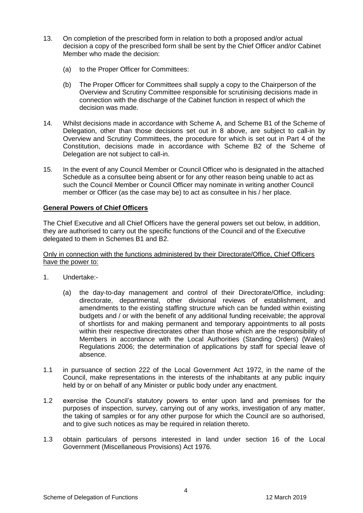- 13. On completion of the prescribed form in relation to both a proposed and/or actual decision a copy of the prescribed form shall be sent by the Chief Officer and/or Cabinet Member who made the decision:
	- (a) to the Proper Officer for Committees:
	- (b) The Proper Officer for Committees shall supply a copy to the Chairperson of the Overview and Scrutiny Committee responsible for scrutinising decisions made in connection with the discharge of the Cabinet function in respect of which the decision was made.
- 14. Whilst decisions made in accordance with Scheme A, and Scheme B1 of the Scheme of Delegation, other than those decisions set out in 8 above, are subject to call-in by Overview and Scrutiny Committees, the procedure for which is set out in Part 4 of the Constitution, decisions made in accordance with Scheme B2 of the Scheme of Delegation are not subject to call-in.
- 15. In the event of any Council Member or Council Officer who is designated in the attached Schedule as a consultee being absent or for any other reason being unable to act as such the Council Member or Council Officer may nominate in writing another Council member or Officer (as the case may be) to act as consultee in his / her place.

#### **General Powers of Chief Officers**

The Chief Executive and all Chief Officers have the general powers set out below, in addition, they are authorised to carry out the specific functions of the Council and of the Executive delegated to them in Schemes B1 and B2.

Only in connection with the functions administered by their Directorate/Office, Chief Officers have the power to:

- 1. Undertake:-
	- (a) the day-to-day management and control of their Directorate/Office, including: directorate, departmental, other divisional reviews of establishment, and amendments to the existing staffing structure which can be funded within existing budgets and / or with the benefit of any additional funding receivable; the approval of shortlists for and making permanent and temporary appointments to all posts within their respective directorates other than those which are the responsibility of Members in accordance with the Local Authorities (Standing Orders) (Wales) Regulations 2006; the determination of applications by staff for special leave of absence.
- 1.1 in pursuance of section 222 of the Local Government Act 1972, in the name of the Council, make representations in the interests of the inhabitants at any public inquiry held by or on behalf of any Minister or public body under any enactment.
- 1.2 exercise the Council's statutory powers to enter upon land and premises for the purposes of inspection, survey, carrying out of any works, investigation of any matter, the taking of samples or for any other purpose for which the Council are so authorised, and to give such notices as may be required in relation thereto.
- 1.3 obtain particulars of persons interested in land under section 16 of the Local Government (Miscellaneous Provisions) Act 1976.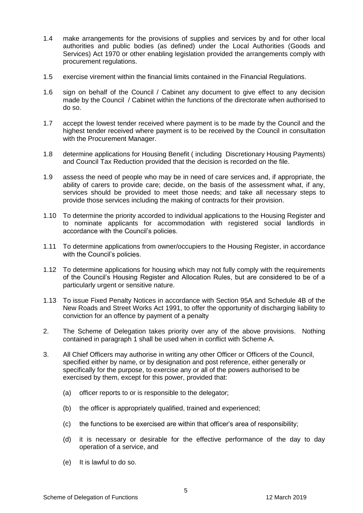- 1.4 make arrangements for the provisions of supplies and services by and for other local authorities and public bodies (as defined) under the Local Authorities (Goods and Services) Act 1970 or other enabling legislation provided the arrangements comply with procurement regulations.
- 1.5 exercise virement within the financial limits contained in the Financial Regulations.
- 1.6 sign on behalf of the Council / Cabinet any document to give effect to any decision made by the Council / Cabinet within the functions of the directorate when authorised to do so.
- 1.7 accept the lowest tender received where payment is to be made by the Council and the highest tender received where payment is to be received by the Council in consultation with the Procurement Manager.
- 1.8 determine applications for Housing Benefit ( including Discretionary Housing Payments) and Council Tax Reduction provided that the decision is recorded on the file.
- 1.9 assess the need of people who may be in need of care services and, if appropriate, the ability of carers to provide care; decide, on the basis of the assessment what, if any, services should be provided to meet those needs; and take all necessary steps to provide those services including the making of contracts for their provision.
- 1.10 To determine the priority accorded to individual applications to the Housing Register and to nominate applicants for accommodation with registered social landlords in accordance with the Council's policies.
- 1.11 To determine applications from owner/occupiers to the Housing Register, in accordance with the Council's policies.
- 1.12 To determine applications for housing which may not fully comply with the requirements of the Council's Housing Register and Allocation Rules, but are considered to be of a particularly urgent or sensitive nature.
- 1.13 To issue Fixed Penalty Notices in accordance with Section 95A and Schedule 4B of the New Roads and Street Works Act 1991, to offer the opportunity of discharging liability to conviction for an offence by payment of a penalty
- 2. The Scheme of Delegation takes priority over any of the above provisions. Nothing contained in paragraph 1 shall be used when in conflict with Scheme A.
- 3. All Chief Officers may authorise in writing any other Officer or Officers of the Council, specified either by name, or by designation and post reference, either generally or specifically for the purpose, to exercise any or all of the powers authorised to be exercised by them, except for this power, provided that:
	- (a) officer reports to or is responsible to the delegator;
	- (b) the officer is appropriately qualified, trained and experienced;
	- (c) the functions to be exercised are within that officer's area of responsibility;
	- (d) it is necessary or desirable for the effective performance of the day to day operation of a service, and
	- (e) It is lawful to do so.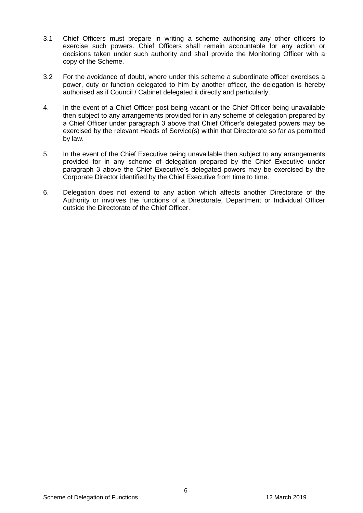- 3.1 Chief Officers must prepare in writing a scheme authorising any other officers to exercise such powers. Chief Officers shall remain accountable for any action or decisions taken under such authority and shall provide the Monitoring Officer with a copy of the Scheme.
- 3.2 For the avoidance of doubt, where under this scheme a subordinate officer exercises a power, duty or function delegated to him by another officer, the delegation is hereby authorised as if Council / Cabinet delegated it directly and particularly.
- 4. In the event of a Chief Officer post being vacant or the Chief Officer being unavailable then subject to any arrangements provided for in any scheme of delegation prepared by a Chief Officer under paragraph 3 above that Chief Officer's delegated powers may be exercised by the relevant Heads of Service(s) within that Directorate so far as permitted by law.
- 5. In the event of the Chief Executive being unavailable then subject to any arrangements provided for in any scheme of delegation prepared by the Chief Executive under paragraph 3 above the Chief Executive's delegated powers may be exercised by the Corporate Director identified by the Chief Executive from time to time.
- 6. Delegation does not extend to any action which affects another Directorate of the Authority or involves the functions of a Directorate, Department or Individual Officer outside the Directorate of the Chief Officer.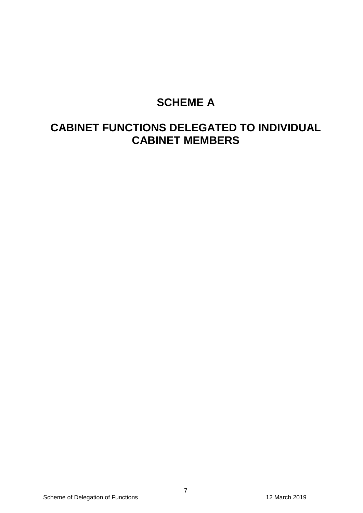## **SCHEME A**

## **CABINET FUNCTIONS DELEGATED TO INDIVIDUAL CABINET MEMBERS**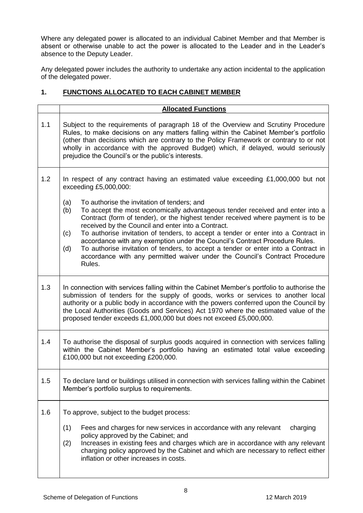Where any delegated power is allocated to an individual Cabinet Member and that Member is absent or otherwise unable to act the power is allocated to the Leader and in the Leader's absence to the Deputy Leader.

Any delegated power includes the authority to undertake any action incidental to the application of the delegated power.

### **1. FUNCTIONS ALLOCATED TO EACH CABINET MEMBER**

|     | <b>Allocated Functions</b>                                                                                                                                                                                                                                                                                                                                                                                                                                                                                                                                                                                                                             |  |  |  |
|-----|--------------------------------------------------------------------------------------------------------------------------------------------------------------------------------------------------------------------------------------------------------------------------------------------------------------------------------------------------------------------------------------------------------------------------------------------------------------------------------------------------------------------------------------------------------------------------------------------------------------------------------------------------------|--|--|--|
| 1.1 | Subject to the requirements of paragraph 18 of the Overview and Scrutiny Procedure<br>Rules, to make decisions on any matters falling within the Cabinet Member's portfolio<br>(other than decisions which are contrary to the Policy Framework or contrary to or not<br>wholly in accordance with the approved Budget) which, if delayed, would seriously<br>prejudice the Council's or the public's interests.                                                                                                                                                                                                                                       |  |  |  |
| 1.2 | In respect of any contract having an estimated value exceeding $£1,000,000$ but not<br>exceeding £5,000,000:                                                                                                                                                                                                                                                                                                                                                                                                                                                                                                                                           |  |  |  |
|     | (a)<br>To authorise the invitation of tenders; and<br>(b)<br>To accept the most economically advantageous tender received and enter into a<br>Contract (form of tender), or the highest tender received where payment is to be<br>received by the Council and enter into a Contract.<br>To authorise invitation of tenders, to accept a tender or enter into a Contract in<br>(c)<br>accordance with any exemption under the Council's Contract Procedure Rules.<br>To authorise invitation of tenders, to accept a tender or enter into a Contract in<br>(d)<br>accordance with any permitted waiver under the Council's Contract Procedure<br>Rules. |  |  |  |
| 1.3 | In connection with services falling within the Cabinet Member's portfolio to authorise the<br>submission of tenders for the supply of goods, works or services to another local<br>authority or a public body in accordance with the powers conferred upon the Council by<br>the Local Authorities (Goods and Services) Act 1970 where the estimated value of the<br>proposed tender exceeds £1,000,000 but does not exceed £5,000,000.                                                                                                                                                                                                                |  |  |  |
| 1.4 | To authorise the disposal of surplus goods acquired in connection with services falling<br>within the Cabinet Member's portfolio having an estimated total value exceeding<br>£100,000 but not exceeding £200,000.                                                                                                                                                                                                                                                                                                                                                                                                                                     |  |  |  |
| 1.5 | To declare land or buildings utilised in connection with services falling within the Cabinet<br>Member's portfolio surplus to requirements.                                                                                                                                                                                                                                                                                                                                                                                                                                                                                                            |  |  |  |
| 1.6 | To approve, subject to the budget process:<br>(1)<br>Fees and charges for new services in accordance with any relevant<br>charging<br>policy approved by the Cabinet; and<br>Increases in existing fees and charges which are in accordance with any relevant<br>(2)<br>charging policy approved by the Cabinet and which are necessary to reflect either<br>inflation or other increases in costs.                                                                                                                                                                                                                                                    |  |  |  |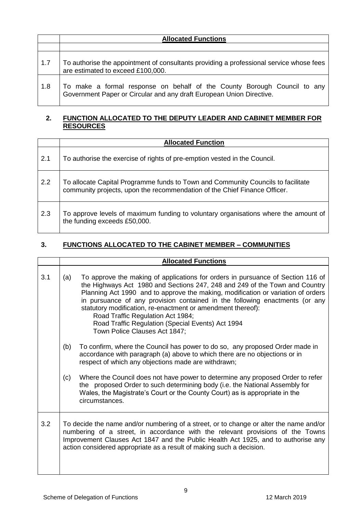|     | <b>Allocated Functions</b>                                                                                                                       |  |  |
|-----|--------------------------------------------------------------------------------------------------------------------------------------------------|--|--|
|     |                                                                                                                                                  |  |  |
| 1.7 | To authorise the appointment of consultants providing a professional service whose fees<br>are estimated to exceed £100,000.                     |  |  |
| 1.8 | To make a formal response on behalf of the County Borough Council to any<br>Government Paper or Circular and any draft European Union Directive. |  |  |

#### **2. FUNCTION ALLOCATED TO THE DEPUTY LEADER AND CABINET MEMBER FOR RESOURCES**

|     | <b>Allocated Function</b>                                                                                                                                     |  |  |
|-----|---------------------------------------------------------------------------------------------------------------------------------------------------------------|--|--|
| 2.1 | To authorise the exercise of rights of pre-emption vested in the Council.                                                                                     |  |  |
| 2.2 | To allocate Capital Programme funds to Town and Community Councils to facilitate<br>community projects, upon the recommendation of the Chief Finance Officer. |  |  |
| 2.3 | To approve levels of maximum funding to voluntary organisations where the amount of<br>the funding exceeds £50,000.                                           |  |  |

### **3. FUNCTIONS ALLOCATED TO THE CABINET MEMBER – COMMUNITIES**

|     | <b>Allocated Functions</b>                                                                                                                                                                                                                                                                                                                                                                                                                                                                                                         |                                                                                                                                                                                                                                                                |  |  |
|-----|------------------------------------------------------------------------------------------------------------------------------------------------------------------------------------------------------------------------------------------------------------------------------------------------------------------------------------------------------------------------------------------------------------------------------------------------------------------------------------------------------------------------------------|----------------------------------------------------------------------------------------------------------------------------------------------------------------------------------------------------------------------------------------------------------------|--|--|
| 3.1 | To approve the making of applications for orders in pursuance of Section 116 of<br>(a)<br>the Highways Act 1980 and Sections 247, 248 and 249 of the Town and Country<br>Planning Act 1990 and to approve the making, modification or variation of orders<br>in pursuance of any provision contained in the following enactments (or any<br>statutory modification, re-enactment or amendment thereof):<br>Road Traffic Regulation Act 1984;<br>Road Traffic Regulation (Special Events) Act 1994<br>Town Police Clauses Act 1847; |                                                                                                                                                                                                                                                                |  |  |
|     | (b)                                                                                                                                                                                                                                                                                                                                                                                                                                                                                                                                | To confirm, where the Council has power to do so, any proposed Order made in<br>accordance with paragraph (a) above to which there are no objections or in<br>respect of which any objections made are withdrawn;                                              |  |  |
|     | (c)                                                                                                                                                                                                                                                                                                                                                                                                                                                                                                                                | Where the Council does not have power to determine any proposed Order to refer<br>the proposed Order to such determining body (i.e. the National Assembly for<br>Wales, the Magistrate's Court or the County Court) as is appropriate in the<br>circumstances. |  |  |
| 3.2 | To decide the name and/or numbering of a street, or to change or alter the name and/or<br>numbering of a street, in accordance with the relevant provisions of the Towns<br>Improvement Clauses Act 1847 and the Public Health Act 1925, and to authorise any<br>action considered appropriate as a result of making such a decision.                                                                                                                                                                                              |                                                                                                                                                                                                                                                                |  |  |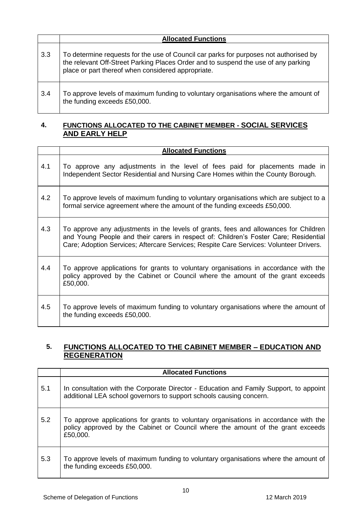|     | <b>Allocated Functions</b>                                                                                                                                                                                                        |  |  |
|-----|-----------------------------------------------------------------------------------------------------------------------------------------------------------------------------------------------------------------------------------|--|--|
| 3.3 | To determine requests for the use of Council car parks for purposes not authorised by<br>the relevant Off-Street Parking Places Order and to suspend the use of any parking<br>place or part thereof when considered appropriate. |  |  |
| 3.4 | To approve levels of maximum funding to voluntary organisations where the amount of<br>the funding exceeds £50,000.                                                                                                               |  |  |

#### **4. FUNCTIONS ALLOCATED TO THE CABINET MEMBER - SOCIAL SERVICES AND EARLY HELP**

|     | <b>Allocated Functions</b>                                                                                                                                                                                                                                             |  |  |
|-----|------------------------------------------------------------------------------------------------------------------------------------------------------------------------------------------------------------------------------------------------------------------------|--|--|
| 4.1 | To approve any adjustments in the level of fees paid for placements made in<br>Independent Sector Residential and Nursing Care Homes within the County Borough.                                                                                                        |  |  |
| 4.2 | To approve levels of maximum funding to voluntary organisations which are subject to a<br>formal service agreement where the amount of the funding exceeds £50,000.                                                                                                    |  |  |
| 4.3 | To approve any adjustments in the levels of grants, fees and allowances for Children<br>and Young People and their carers in respect of: Children's Foster Care; Residential<br>Care; Adoption Services; Aftercare Services; Respite Care Services: Volunteer Drivers. |  |  |
| 4.4 | To approve applications for grants to voluntary organisations in accordance with the<br>policy approved by the Cabinet or Council where the amount of the grant exceeds<br>£50,000.                                                                                    |  |  |
| 4.5 | To approve levels of maximum funding to voluntary organisations where the amount of<br>the funding exceeds £50,000.                                                                                                                                                    |  |  |

## **5. FUNCTIONS ALLOCATED TO THE CABINET MEMBER – EDUCATION AND REGENERATION**

|     | <b>Allocated Functions</b>                                                                                                                                                          |  |  |
|-----|-------------------------------------------------------------------------------------------------------------------------------------------------------------------------------------|--|--|
| 5.1 | In consultation with the Corporate Director - Education and Family Support, to appoint<br>additional LEA school governors to support schools causing concern.                       |  |  |
| 5.2 | To approve applications for grants to voluntary organisations in accordance with the<br>policy approved by the Cabinet or Council where the amount of the grant exceeds<br>£50,000. |  |  |
| 5.3 | To approve levels of maximum funding to voluntary organisations where the amount of<br>the funding exceeds £50,000.                                                                 |  |  |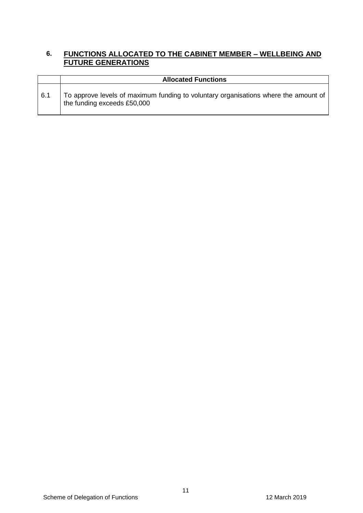#### **6. FUNCTIONS ALLOCATED TO THE CABINET MEMBER – WELLBEING AND FUTURE GENERATIONS**

|     | <b>Allocated Functions</b>                                                                                         |  |  |  |  |
|-----|--------------------------------------------------------------------------------------------------------------------|--|--|--|--|
| 6.1 | To approve levels of maximum funding to voluntary organisations where the amount of<br>the funding exceeds £50,000 |  |  |  |  |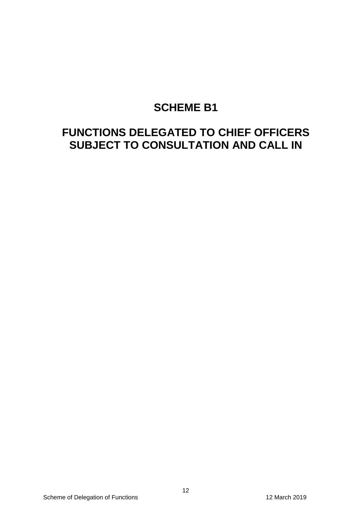## **SCHEME B1**

## **FUNCTIONS DELEGATED TO CHIEF OFFICERS SUBJECT TO CONSULTATION AND CALL IN**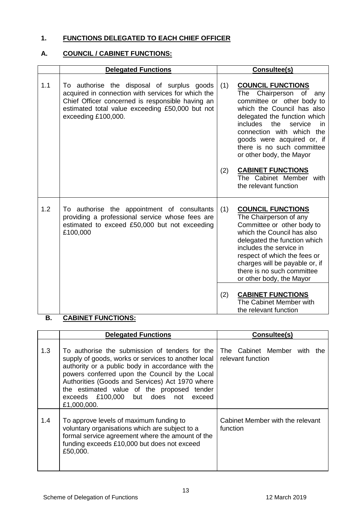#### **1. FUNCTIONS DELEGATED TO EACH CHIEF OFFICER**

#### **A. COUNCIL / CABINET FUNCTIONS:**

|     | <b>Delegated Functions</b>                                                                                                                                                                                                     |     | Consultee(s)                                                                                                                                                                                                                                                                                                          |  |
|-----|--------------------------------------------------------------------------------------------------------------------------------------------------------------------------------------------------------------------------------|-----|-----------------------------------------------------------------------------------------------------------------------------------------------------------------------------------------------------------------------------------------------------------------------------------------------------------------------|--|
| 1.1 | To authorise the disposal of surplus goods<br>acquired in connection with services for which the<br>Chief Officer concerned is responsible having an<br>estimated total value exceeding £50,000 but not<br>exceeding £100,000. | (1) | <b>COUNCIL FUNCTIONS</b><br>Chairperson of<br>The<br>any<br>committee or other body to<br>which the Council has also<br>delegated the function which<br><i>includes</i><br>the<br>service<br>in.<br>connection with which the<br>goods were acquired or, if<br>there is no such committee<br>or other body, the Mayor |  |
|     |                                                                                                                                                                                                                                | (2) | <b>CABINET FUNCTIONS</b><br>The Cabinet Member with<br>the relevant function                                                                                                                                                                                                                                          |  |
| 1.2 | To authorise the appointment of consultants<br>providing a professional service whose fees are<br>estimated to exceed £50,000 but not exceeding<br>£100,000                                                                    | (1) | <b>COUNCIL FUNCTIONS</b><br>The Chairperson of any<br>Committee or other body to<br>which the Council has also<br>delegated the function which<br>includes the service in<br>respect of which the fees or<br>charges will be payable or, if<br>there is no such committee<br>or other body, the Mayor                 |  |
|     |                                                                                                                                                                                                                                | (2) | <b>CABINET FUNCTIONS</b><br>The Cabinet Member with<br>the relevant function                                                                                                                                                                                                                                          |  |

### **B. CABINET FUNCTIONS:**

|     | <b>Delegated Functions</b>                                                                                                                                                                                                                                                                                                                                           | Consultee(s)                                     |
|-----|----------------------------------------------------------------------------------------------------------------------------------------------------------------------------------------------------------------------------------------------------------------------------------------------------------------------------------------------------------------------|--------------------------------------------------|
| 1.3 | To authorise the submission of tenders for the<br>supply of goods, works or services to another local<br>authority or a public body in accordance with the<br>powers conferred upon the Council by the Local<br>Authorities (Goods and Services) Act 1970 where<br>the estimated value of the proposed tender<br>exceeds £100,000 but does not exceed<br>£1,000,000. | The Cabinet Member with the<br>relevant function |
| 1.4 | To approve levels of maximum funding to<br>voluntary organisations which are subject to a<br>formal service agreement where the amount of the<br>funding exceeds £10,000 but does not exceed<br>£50,000.                                                                                                                                                             | Cabinet Member with the relevant<br>function     |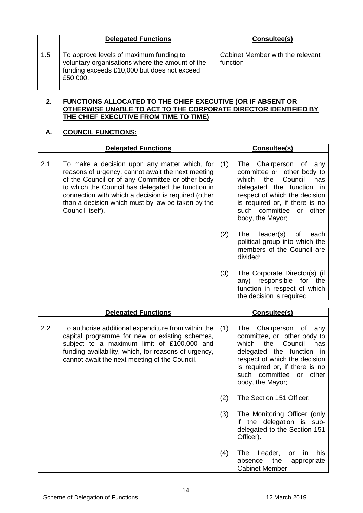|     | <b>Delegated Functions</b>                                                                                                                            | Consultee(s)                                 |
|-----|-------------------------------------------------------------------------------------------------------------------------------------------------------|----------------------------------------------|
| 1.5 | To approve levels of maximum funding to<br>voluntary organisations where the amount of the<br>funding exceeds £10,000 but does not exceed<br>£50,000. | Cabinet Member with the relevant<br>function |

#### **2. FUNCTIONS ALLOCATED TO THE CHIEF EXECUTIVE (OR IF ABSENT OR OTHERWISE UNABLE TO ACT TO THE CORPORATE DIRECTOR IDENTIFIED BY THE CHIEF EXECUTIVE FROM TIME TO TIME)**

### **A. COUNCIL FUNCTIONS:**

|     | <b>Delegated Functions</b>                                                                                                                                                                                                                                                                                                                   |     | Consultee(s)                                                                                                                                                                                                                                          |
|-----|----------------------------------------------------------------------------------------------------------------------------------------------------------------------------------------------------------------------------------------------------------------------------------------------------------------------------------------------|-----|-------------------------------------------------------------------------------------------------------------------------------------------------------------------------------------------------------------------------------------------------------|
| 2.1 | To make a decision upon any matter which, for<br>reasons of urgency, cannot await the next meeting<br>of the Council or of any Committee or other body<br>to which the Council has delegated the function in<br>connection with which a decision is required (other<br>than a decision which must by law be taken by the<br>Council itself). | (1) | Chairperson<br>The<br>of<br>any<br>committee or other body to<br>Council<br>the<br>which<br>has<br>delegated the function<br>in.<br>respect of which the decision<br>is required or, if there is no<br>such committee or<br>other<br>body, the Mayor; |
|     |                                                                                                                                                                                                                                                                                                                                              | (2) | leader(s)<br>The<br>of<br>each<br>political group into which the<br>members of the Council are<br>divided;                                                                                                                                            |
|     |                                                                                                                                                                                                                                                                                                                                              | (3) | The Corporate Director(s) (if<br>any) responsible for the<br>function in respect of which<br>the decision is required                                                                                                                                 |

|     | <b>Delegated Functions</b>                                                                                                                                                                                                                                   | Consultee(s)                                                                                                                                                                                                                                              |
|-----|--------------------------------------------------------------------------------------------------------------------------------------------------------------------------------------------------------------------------------------------------------------|-----------------------------------------------------------------------------------------------------------------------------------------------------------------------------------------------------------------------------------------------------------|
| 2.2 | To authorise additional expenditure from within the<br>capital programme for new or existing schemes,<br>subject to a maximum limit of £100,000 and<br>funding availability, which, for reasons of urgency,<br>cannot await the next meeting of the Council. | (1)<br>Chairperson of<br>The<br>any<br>committee, or other body to<br>Council<br>which<br>the<br>has<br>delegated the function in<br>respect of which the decision<br>is required or, if there is no<br>such<br>committee or<br>other<br>body, the Mayor; |
|     |                                                                                                                                                                                                                                                              | (2)<br>The Section 151 Officer;<br>(3)<br>The Monitoring Officer (only<br>if the delegation is sub-<br>delegated to the Section 151<br>Officer).                                                                                                          |
|     |                                                                                                                                                                                                                                                              | (4)<br>Leader,<br>The<br>his.<br>or<br>ın<br>the<br>absence<br>appropriate<br><b>Cabinet Member</b>                                                                                                                                                       |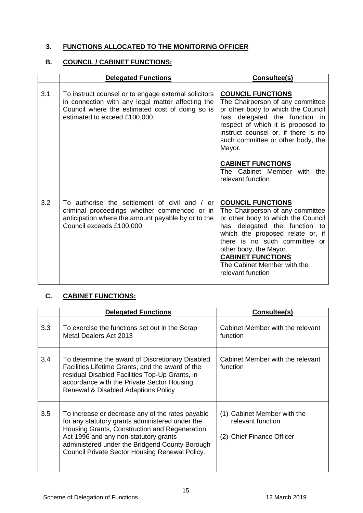#### **3. FUNCTIONS ALLOCATED TO THE MONITORING OFFICER**

#### **B. COUNCIL / CABINET FUNCTIONS:**

|     | <b>Delegated Functions</b>                                                                                                                                                                    | Consultee(s)                                                                                                                                                                                                                                                                                                                                  |
|-----|-----------------------------------------------------------------------------------------------------------------------------------------------------------------------------------------------|-----------------------------------------------------------------------------------------------------------------------------------------------------------------------------------------------------------------------------------------------------------------------------------------------------------------------------------------------|
| 3.1 | To instruct counsel or to engage external solicitors<br>in connection with any legal matter affecting the<br>Council where the estimated cost of doing so is<br>estimated to exceed £100,000. | <b>COUNCIL FUNCTIONS</b><br>The Chairperson of any committee<br>or other body to which the Council<br>has delegated the function<br>- in<br>respect of which it is proposed to<br>instruct counsel or, if there is no<br>such committee or other body, the<br>Mayor.<br><b>CABINET FUNCTIONS</b><br>The Cabinet Member with the               |
| 3.2 | To authorise the settlement of civil and / or<br>criminal proceedings whether commenced or in<br>anticipation where the amount payable by or to the<br>Council exceeds £100,000.              | relevant function<br><b>COUNCIL FUNCTIONS</b><br>The Chairperson of any committee<br>or other body to which the Council<br>delegated the function<br>has<br>to<br>which the proposed relate or, if<br>there is no such committee or<br>other body, the Mayor.<br><b>CABINET FUNCTIONS</b><br>The Cabinet Member with the<br>relevant function |

#### **C. CABINET FUNCTIONS:**

|     | <b>Delegated Functions</b>                                                                                                                                                                                                                                                                        | Consultee(s)                                                                  |
|-----|---------------------------------------------------------------------------------------------------------------------------------------------------------------------------------------------------------------------------------------------------------------------------------------------------|-------------------------------------------------------------------------------|
| 3.3 | To exercise the functions set out in the Scrap<br>Metal Dealers Act 2013                                                                                                                                                                                                                          | Cabinet Member with the relevant<br>function                                  |
| 3.4 | To determine the award of Discretionary Disabled<br>Facilities Lifetime Grants, and the award of the<br>residual Disabled Facilities Top-Up Grants, in<br>accordance with the Private Sector Housing<br><b>Renewal &amp; Disabled Adaptions Policy</b>                                            | Cabinet Member with the relevant<br>function                                  |
| 3.5 | To increase or decrease any of the rates payable<br>for any statutory grants administered under the<br>Housing Grants, Construction and Regeneration<br>Act 1996 and any non-statutory grants<br>administered under the Bridgend County Borough<br>Council Private Sector Housing Renewal Policy. | (1) Cabinet Member with the<br>relevant function<br>(2) Chief Finance Officer |
|     |                                                                                                                                                                                                                                                                                                   |                                                                               |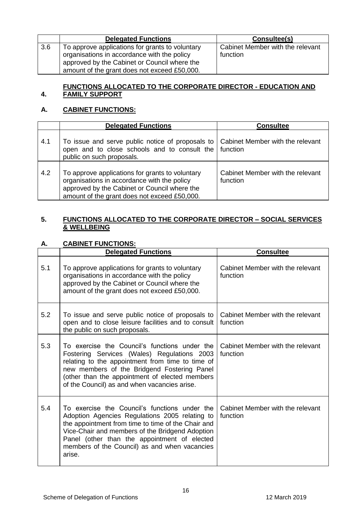|     | <b>Delegated Functions</b>                                                                                                                                                                     | Consultee(s)                                 |
|-----|------------------------------------------------------------------------------------------------------------------------------------------------------------------------------------------------|----------------------------------------------|
| 3.6 | To approve applications for grants to voluntary<br>organisations in accordance with the policy<br>approved by the Cabinet or Council where the<br>amount of the grant does not exceed £50,000. | Cabinet Member with the relevant<br>function |

#### **4. FUNCTIONS ALLOCATED TO THE CORPORATE DIRECTOR - EDUCATION AND FAMILY SUPPORT**

#### **A. CABINET FUNCTIONS:**

|     | <b>Delegated Functions</b>                                                                                                                                                                     | <b>Consultee</b>                             |
|-----|------------------------------------------------------------------------------------------------------------------------------------------------------------------------------------------------|----------------------------------------------|
| 4.1 | To issue and serve public notice of proposals to<br>open and to close schools and to consult the $ $ function<br>public on such proposals.                                                     | <b>Cabinet Member with the relevant</b>      |
| 4.2 | To approve applications for grants to voluntary<br>organisations in accordance with the policy<br>approved by the Cabinet or Council where the<br>amount of the grant does not exceed £50,000. | Cabinet Member with the relevant<br>function |

#### **5. FUNCTIONS ALLOCATED TO THE CORPORATE DIRECTOR – SOCIAL SERVICES & WELLBEING**

#### **A. CABINET FUNCTIONS:**

|     | <b>Delegated Functions</b>                                                                                                                                                                                                                                                                                          | <b>Consultee</b>                             |
|-----|---------------------------------------------------------------------------------------------------------------------------------------------------------------------------------------------------------------------------------------------------------------------------------------------------------------------|----------------------------------------------|
| 5.1 | To approve applications for grants to voluntary<br>organisations in accordance with the policy<br>approved by the Cabinet or Council where the<br>amount of the grant does not exceed £50,000.                                                                                                                      | Cabinet Member with the relevant<br>function |
| 5.2 | To issue and serve public notice of proposals to<br>open and to close leisure facilities and to consult<br>the public on such proposals.                                                                                                                                                                            | Cabinet Member with the relevant<br>function |
| 5.3 | To exercise the Council's functions under the<br>Fostering Services (Wales) Regulations 2003<br>relating to the appointment from time to time of<br>new members of the Bridgend Fostering Panel<br>(other than the appointment of elected members<br>of the Council) as and when vacancies arise.                   | Cabinet Member with the relevant<br>function |
| 5.4 | To exercise the Council's functions under the<br>Adoption Agencies Regulations 2005 relating to<br>the appointment from time to time of the Chair and<br>Vice-Chair and members of the Bridgend Adoption<br>Panel (other than the appointment of elected<br>members of the Council) as and when vacancies<br>arise. | Cabinet Member with the relevant<br>function |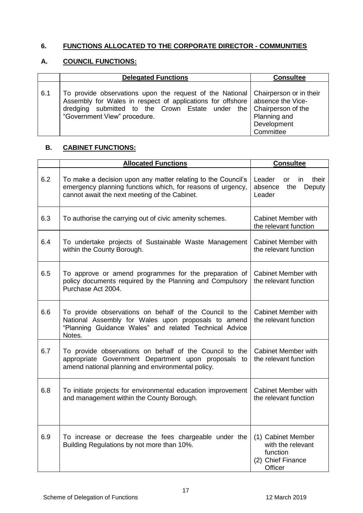## **6. FUNCTIONS ALLOCATED TO THE CORPORATE DIRECTOR - COMMUNITIES**

### **A. COUNCIL FUNCTIONS:**

|     | <b>Delegated Functions</b>                                                                                                                                                                                                                                              | <b>Consultee</b>                         |
|-----|-------------------------------------------------------------------------------------------------------------------------------------------------------------------------------------------------------------------------------------------------------------------------|------------------------------------------|
| 6.1 | To provide observations upon the request of the National Chairperson or in their<br>Assembly for Wales in respect of applications for offshore absence the Vice-<br>dredging submitted to the Crown Estate under the Chairperson of the<br>"Government View" procedure. | Planning and<br>Development<br>Committee |

#### **B. CABINET FUNCTIONS:**

|     | <b>Allocated Functions</b>                                                                                                                                                         | <b>Consultee</b>                                                                    |
|-----|------------------------------------------------------------------------------------------------------------------------------------------------------------------------------------|-------------------------------------------------------------------------------------|
| 6.2 | To make a decision upon any matter relating to the Council's<br>emergency planning functions which, for reasons of urgency,<br>cannot await the next meeting of the Cabinet.       | Leader<br>their<br><b>or</b><br>in.<br>absence<br>the<br>Deputy<br>Leader           |
| 6.3 | To authorise the carrying out of civic amenity schemes.                                                                                                                            | <b>Cabinet Member with</b><br>the relevant function                                 |
| 6.4 | To undertake projects of Sustainable Waste Management<br>within the County Borough.                                                                                                | <b>Cabinet Member with</b><br>the relevant function                                 |
| 6.5 | To approve or amend programmes for the preparation of<br>policy documents required by the Planning and Compulsory<br>Purchase Act 2004.                                            | <b>Cabinet Member with</b><br>the relevant function                                 |
| 6.6 | To provide observations on behalf of the Council to the<br>National Assembly for Wales upon proposals to amend<br>"Planning Guidance Wales" and related Technical Advice<br>Notes. | <b>Cabinet Member with</b><br>the relevant function                                 |
| 6.7 | To provide observations on behalf of the Council to the<br>appropriate Government Department upon proposals to<br>amend national planning and environmental policy.                | <b>Cabinet Member with</b><br>the relevant function                                 |
| 6.8 | To initiate projects for environmental education improvement<br>and management within the County Borough.                                                                          | Cabinet Member with<br>the relevant function                                        |
| 6.9 | To increase or decrease the fees chargeable under the<br>Building Regulations by not more than 10%.                                                                                | (1) Cabinet Member<br>with the relevant<br>function<br>(2) Chief Finance<br>Officer |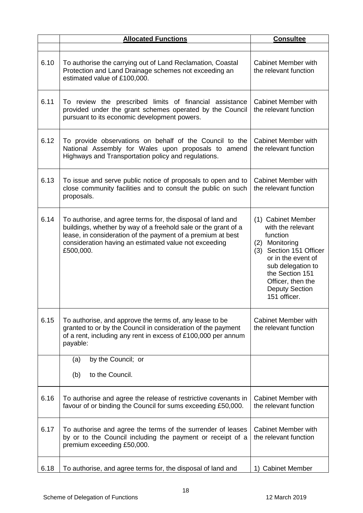|      | <b>Allocated Functions</b>                                                                                                                                                                                                                                         | <b>Consultee</b>                                                                                                                                                                                                             |
|------|--------------------------------------------------------------------------------------------------------------------------------------------------------------------------------------------------------------------------------------------------------------------|------------------------------------------------------------------------------------------------------------------------------------------------------------------------------------------------------------------------------|
| 6.10 | To authorise the carrying out of Land Reclamation, Coastal<br>Protection and Land Drainage schemes not exceeding an<br>estimated value of £100,000.                                                                                                                | Cabinet Member with<br>the relevant function                                                                                                                                                                                 |
| 6.11 | To review the prescribed limits of financial assistance<br>provided under the grant schemes operated by the Council<br>pursuant to its economic development powers.                                                                                                | <b>Cabinet Member with</b><br>the relevant function                                                                                                                                                                          |
| 6.12 | To provide observations on behalf of the Council to the<br>National Assembly for Wales upon proposals to amend<br>Highways and Transportation policy and regulations.                                                                                              | <b>Cabinet Member with</b><br>the relevant function                                                                                                                                                                          |
| 6.13 | To issue and serve public notice of proposals to open and to<br>close community facilities and to consult the public on such<br>proposals.                                                                                                                         | <b>Cabinet Member with</b><br>the relevant function                                                                                                                                                                          |
| 6.14 | To authorise, and agree terms for, the disposal of land and<br>buildings, whether by way of a freehold sale or the grant of a<br>lease, in consideration of the payment of a premium at best<br>consideration having an estimated value not exceeding<br>£500,000. | (1) Cabinet Member<br>with the relevant<br>function<br>(2) Monitoring<br>(3) Section 151 Officer<br>or in the event of<br>sub delegation to<br>the Section 151<br>Officer, then the<br><b>Deputy Section</b><br>151 officer. |
| 6.15 | To authorise, and approve the terms of, any lease to be<br>granted to or by the Council in consideration of the payment<br>of a rent, including any rent in excess of £100,000 per annum<br>payable:                                                               | <b>Cabinet Member with</b><br>the relevant function                                                                                                                                                                          |
|      | by the Council; or<br>(a)                                                                                                                                                                                                                                          |                                                                                                                                                                                                                              |
|      | to the Council.<br>(b)                                                                                                                                                                                                                                             |                                                                                                                                                                                                                              |
| 6.16 | To authorise and agree the release of restrictive covenants in<br>favour of or binding the Council for sums exceeding £50,000.                                                                                                                                     | <b>Cabinet Member with</b><br>the relevant function                                                                                                                                                                          |
| 6.17 | To authorise and agree the terms of the surrender of leases<br>by or to the Council including the payment or receipt of a<br>premium exceeding £50,000.                                                                                                            | <b>Cabinet Member with</b><br>the relevant function                                                                                                                                                                          |
| 6.18 | To authorise, and agree terms for, the disposal of land and                                                                                                                                                                                                        | 1) Cabinet Member                                                                                                                                                                                                            |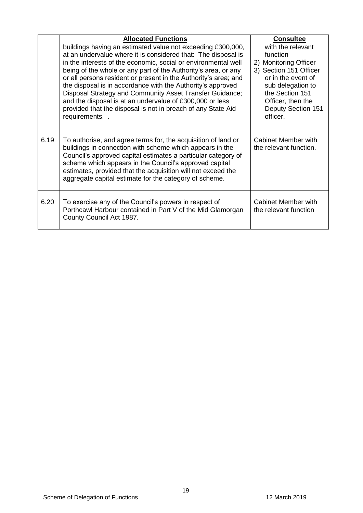|      | <b>Allocated Functions</b>                                                                                                                                                                                                                                                                                                                                                                                                                                                                                                                                                                                 | <b>Consultee</b>                                                                                                                                                                                      |
|------|------------------------------------------------------------------------------------------------------------------------------------------------------------------------------------------------------------------------------------------------------------------------------------------------------------------------------------------------------------------------------------------------------------------------------------------------------------------------------------------------------------------------------------------------------------------------------------------------------------|-------------------------------------------------------------------------------------------------------------------------------------------------------------------------------------------------------|
|      | buildings having an estimated value not exceeding £300,000,<br>at an undervalue where it is considered that: The disposal is<br>in the interests of the economic, social or environmental well<br>being of the whole or any part of the Authority's area, or any<br>or all persons resident or present in the Authority's area; and<br>the disposal is in accordance with the Authority's approved<br>Disposal Strategy and Community Asset Transfer Guidance;<br>and the disposal is at an undervalue of £300,000 or less<br>provided that the disposal is not in breach of any State Aid<br>requirements | with the relevant<br>function<br>2) Monitoring Officer<br>3) Section 151 Officer<br>or in the event of<br>sub delegation to<br>the Section 151<br>Officer, then the<br>Deputy Section 151<br>officer. |
| 6.19 | To authorise, and agree terms for, the acquisition of land or<br>buildings in connection with scheme which appears in the<br>Council's approved capital estimates a particular category of<br>scheme which appears in the Council's approved capital<br>estimates, provided that the acquisition will not exceed the<br>aggregate capital estimate for the category of scheme.                                                                                                                                                                                                                             | <b>Cabinet Member with</b><br>the relevant function.                                                                                                                                                  |
| 6.20 | To exercise any of the Council's powers in respect of<br>Porthcawl Harbour contained in Part V of the Mid Glamorgan<br>County Council Act 1987.                                                                                                                                                                                                                                                                                                                                                                                                                                                            | <b>Cabinet Member with</b><br>the relevant function                                                                                                                                                   |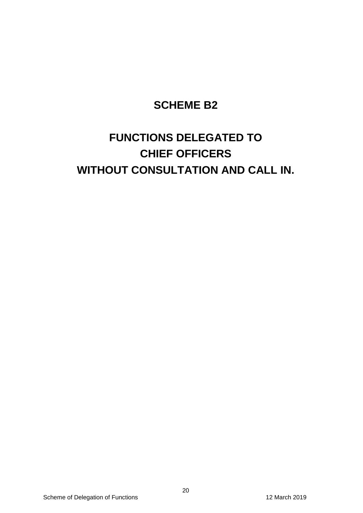## **SCHEME B2**

# **FUNCTIONS DELEGATED TO CHIEF OFFICERS WITHOUT CONSULTATION AND CALL IN.**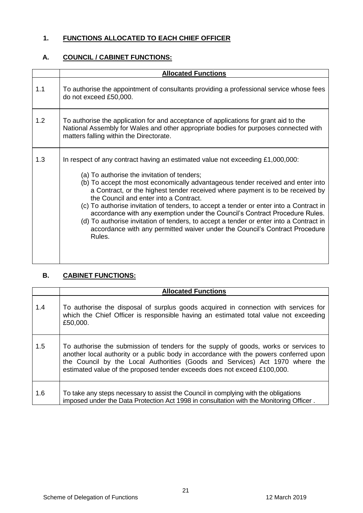## **1. FUNCTIONS ALLOCATED TO EACH CHIEF OFFICER**

## **A. COUNCIL / CABINET FUNCTIONS:**

|     | <b>Allocated Functions</b>                                                                                                                                                                                                                                                                                                                                                                                                                                                                                                                                                                                                                                                                                 |
|-----|------------------------------------------------------------------------------------------------------------------------------------------------------------------------------------------------------------------------------------------------------------------------------------------------------------------------------------------------------------------------------------------------------------------------------------------------------------------------------------------------------------------------------------------------------------------------------------------------------------------------------------------------------------------------------------------------------------|
| 1.1 | To authorise the appointment of consultants providing a professional service whose fees<br>do not exceed £50,000.                                                                                                                                                                                                                                                                                                                                                                                                                                                                                                                                                                                          |
| 1.2 | To authorise the application for and acceptance of applications for grant aid to the<br>National Assembly for Wales and other appropriate bodies for purposes connected with<br>matters falling within the Directorate.                                                                                                                                                                                                                                                                                                                                                                                                                                                                                    |
| 1.3 | In respect of any contract having an estimated value not exceeding $£1,000,000$ :<br>(a) To authorise the invitation of tenders;<br>(b) To accept the most economically advantageous tender received and enter into<br>a Contract, or the highest tender received where payment is to be received by<br>the Council and enter into a Contract.<br>(c) To authorise invitation of tenders, to accept a tender or enter into a Contract in<br>accordance with any exemption under the Council's Contract Procedure Rules.<br>(d) To authorise invitation of tenders, to accept a tender or enter into a Contract in<br>accordance with any permitted waiver under the Council's Contract Procedure<br>Rules. |

## **B. CABINET FUNCTIONS:**

|     | <b>Allocated Functions</b>                                                                                                                                                                                                                                                                                                                |
|-----|-------------------------------------------------------------------------------------------------------------------------------------------------------------------------------------------------------------------------------------------------------------------------------------------------------------------------------------------|
| 1.4 | To authorise the disposal of surplus goods acquired in connection with services for<br>which the Chief Officer is responsible having an estimated total value not exceeding<br>£50,000.                                                                                                                                                   |
| 1.5 | To authorise the submission of tenders for the supply of goods, works or services to<br>another local authority or a public body in accordance with the powers conferred upon<br>the Council by the Local Authorities (Goods and Services) Act 1970 where the<br>estimated value of the proposed tender exceeds does not exceed £100,000. |
| 1.6 | To take any steps necessary to assist the Council in complying with the obligations<br>imposed under the Data Protection Act 1998 in consultation with the Monitoring Officer.                                                                                                                                                            |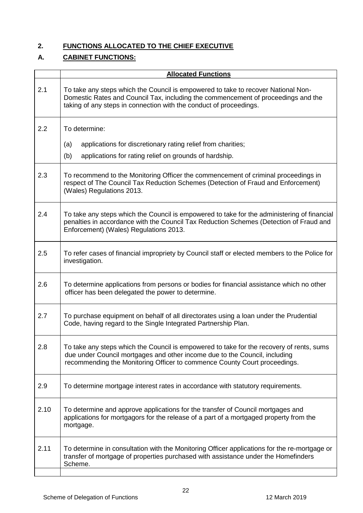## **2. FUNCTIONS ALLOCATED TO THE CHIEF EXECUTIVE**

## **A. CABINET FUNCTIONS:**

|      | <b>Allocated Functions</b>                                                                                                                                                                                                                          |
|------|-----------------------------------------------------------------------------------------------------------------------------------------------------------------------------------------------------------------------------------------------------|
| 2.1  | To take any steps which the Council is empowered to take to recover National Non-<br>Domestic Rates and Council Tax, including the commencement of proceedings and the<br>taking of any steps in connection with the conduct of proceedings.        |
| 2.2  | To determine:                                                                                                                                                                                                                                       |
|      | (a)<br>applications for discretionary rating relief from charities;                                                                                                                                                                                 |
|      | (b)<br>applications for rating relief on grounds of hardship.                                                                                                                                                                                       |
| 2.3  | To recommend to the Monitoring Officer the commencement of criminal proceedings in<br>respect of The Council Tax Reduction Schemes (Detection of Fraud and Enforcement)<br>(Wales) Regulations 2013.                                                |
| 2.4  | To take any steps which the Council is empowered to take for the administering of financial<br>penalties in accordance with the Council Tax Reduction Schemes (Detection of Fraud and<br>Enforcement) (Wales) Regulations 2013.                     |
| 2.5  | To refer cases of financial impropriety by Council staff or elected members to the Police for<br>investigation.                                                                                                                                     |
| 2.6  | To determine applications from persons or bodies for financial assistance which no other<br>officer has been delegated the power to determine.                                                                                                      |
| 2.7  | To purchase equipment on behalf of all directorates using a loan under the Prudential<br>Code, having regard to the Single Integrated Partnership Plan.                                                                                             |
| 2.8  | To take any steps which the Council is empowered to take for the recovery of rents, sums<br>due under Council mortgages and other income due to the Council, including<br>recommending the Monitoring Officer to commence County Court proceedings. |
| 2.9  | To determine mortgage interest rates in accordance with statutory requirements.                                                                                                                                                                     |
| 2.10 | To determine and approve applications for the transfer of Council mortgages and<br>applications for mortgagors for the release of a part of a mortgaged property from the<br>mortgage.                                                              |
| 2.11 | To determine in consultation with the Monitoring Officer applications for the re-mortgage or<br>transfer of mortgage of properties purchased with assistance under the Homefinders<br>Scheme.                                                       |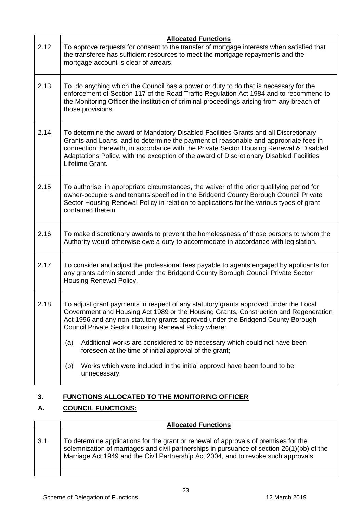|      | <b>Allocated Functions</b>                                                                                                                                                                                                                                                                                                                                                            |
|------|---------------------------------------------------------------------------------------------------------------------------------------------------------------------------------------------------------------------------------------------------------------------------------------------------------------------------------------------------------------------------------------|
| 2.12 | To approve requests for consent to the transfer of mortgage interests when satisfied that<br>the transferee has sufficient resources to meet the mortgage repayments and the<br>mortgage account is clear of arrears.                                                                                                                                                                 |
| 2.13 | To do anything which the Council has a power or duty to do that is necessary for the<br>enforcement of Section 117 of the Road Traffic Regulation Act 1984 and to recommend to<br>the Monitoring Officer the institution of criminal proceedings arising from any breach of<br>those provisions.                                                                                      |
| 2.14 | To determine the award of Mandatory Disabled Facilities Grants and all Discretionary<br>Grants and Loans, and to determine the payment of reasonable and appropriate fees in<br>connection therewith, in accordance with the Private Sector Housing Renewal & Disabled<br>Adaptations Policy, with the exception of the award of Discretionary Disabled Facilities<br>Lifetime Grant. |
| 2.15 | To authorise, in appropriate circumstances, the waiver of the prior qualifying period for<br>owner-occupiers and tenants specified in the Bridgend County Borough Council Private<br>Sector Housing Renewal Policy in relation to applications for the various types of grant<br>contained therein.                                                                                   |
| 2.16 | To make discretionary awards to prevent the homelessness of those persons to whom the<br>Authority would otherwise owe a duty to accommodate in accordance with legislation.                                                                                                                                                                                                          |
| 2.17 | To consider and adjust the professional fees payable to agents engaged by applicants for<br>any grants administered under the Bridgend County Borough Council Private Sector<br>Housing Renewal Policy.                                                                                                                                                                               |
| 2.18 | To adjust grant payments in respect of any statutory grants approved under the Local<br>Government and Housing Act 1989 or the Housing Grants, Construction and Regeneration<br>Act 1996 and any non-statutory grants approved under the Bridgend County Borough<br>Council Private Sector Housing Renewal Policy where:                                                              |
|      | Additional works are considered to be necessary which could not have been<br>(a)<br>foreseen at the time of initial approval of the grant;                                                                                                                                                                                                                                            |
|      | Works which were included in the initial approval have been found to be<br>(b)<br>unnecessary.                                                                                                                                                                                                                                                                                        |

## **3. FUNCTIONS ALLOCATED TO THE MONITORING OFFICER**

## **A. COUNCIL FUNCTIONS:**

|     | <b>Allocated Functions</b>                                                                                                                                                                                                                                               |
|-----|--------------------------------------------------------------------------------------------------------------------------------------------------------------------------------------------------------------------------------------------------------------------------|
| 3.1 | To determine applications for the grant or renewal of approvals of premises for the<br>solemnization of marriages and civil partnerships in pursuance of section 26(1)(bb) of the<br>Marriage Act 1949 and the Civil Partnership Act 2004, and to revoke such approvals. |
|     |                                                                                                                                                                                                                                                                          |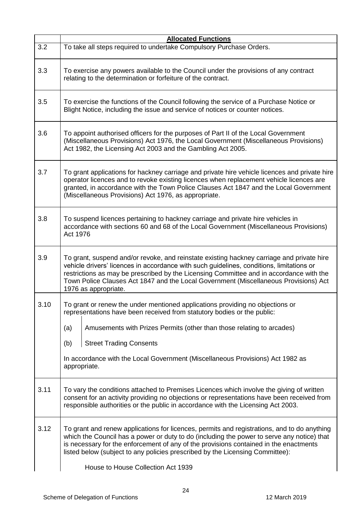|      | <b>Allocated Functions</b>                                                                                                                                                                                                                                                                                                                                                                       |  |
|------|--------------------------------------------------------------------------------------------------------------------------------------------------------------------------------------------------------------------------------------------------------------------------------------------------------------------------------------------------------------------------------------------------|--|
| 3.2  | To take all steps required to undertake Compulsory Purchase Orders.                                                                                                                                                                                                                                                                                                                              |  |
| 3.3  | To exercise any powers available to the Council under the provisions of any contract<br>relating to the determination or forfeiture of the contract.                                                                                                                                                                                                                                             |  |
| 3.5  | To exercise the functions of the Council following the service of a Purchase Notice or<br>Blight Notice, including the issue and service of notices or counter notices.                                                                                                                                                                                                                          |  |
| 3.6  | To appoint authorised officers for the purposes of Part II of the Local Government<br>(Miscellaneous Provisions) Act 1976, the Local Government (Miscellaneous Provisions)<br>Act 1982, the Licensing Act 2003 and the Gambling Act 2005.                                                                                                                                                        |  |
| 3.7  | To grant applications for hackney carriage and private hire vehicle licences and private hire<br>operator licences and to revoke existing licences when replacement vehicle licences are<br>granted, in accordance with the Town Police Clauses Act 1847 and the Local Government<br>(Miscellaneous Provisions) Act 1976, as appropriate.                                                        |  |
| 3.8  | To suspend licences pertaining to hackney carriage and private hire vehicles in<br>accordance with sections 60 and 68 of the Local Government (Miscellaneous Provisions)<br>Act 1976                                                                                                                                                                                                             |  |
| 3.9  | To grant, suspend and/or revoke, and reinstate existing hackney carriage and private hire<br>vehicle drivers' licences in accordance with such guidelines, conditions, limitations or<br>restrictions as may be prescribed by the Licensing Committee and in accordance with the<br>Town Police Clauses Act 1847 and the Local Government (Miscellaneous Provisions) Act<br>1976 as appropriate. |  |
| 3.10 | To grant or renew the under mentioned applications providing no objections or<br>representations have been received from statutory bodies or the public:                                                                                                                                                                                                                                         |  |
|      | Amusements with Prizes Permits (other than those relating to arcades)<br>(a)                                                                                                                                                                                                                                                                                                                     |  |
|      | <b>Street Trading Consents</b><br>(b)                                                                                                                                                                                                                                                                                                                                                            |  |
|      | In accordance with the Local Government (Miscellaneous Provisions) Act 1982 as<br>appropriate.                                                                                                                                                                                                                                                                                                   |  |
| 3.11 | To vary the conditions attached to Premises Licences which involve the giving of written<br>consent for an activity providing no objections or representations have been received from<br>responsible authorities or the public in accordance with the Licensing Act 2003.                                                                                                                       |  |
| 3.12 | To grant and renew applications for licences, permits and registrations, and to do anything<br>which the Council has a power or duty to do (including the power to serve any notice) that<br>is necessary for the enforcement of any of the provisions contained in the enactments<br>listed below (subject to any policies prescribed by the Licensing Committee):                              |  |
|      | House to House Collection Act 1939                                                                                                                                                                                                                                                                                                                                                               |  |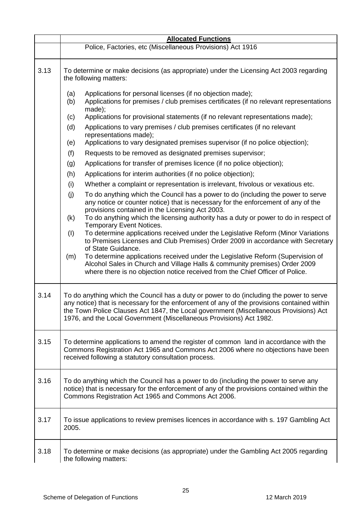|      | <b>Allocated Functions</b>                                                                                                                                                                                                                                                                                                                                                                                                                                                                                                                                                                                                                                                                                                                                                                                                                                                                                                                                                                                                                                                                                                                                                                                                                                                                                                                                                                                                                                                                                                                                                                                                                |  |
|------|-------------------------------------------------------------------------------------------------------------------------------------------------------------------------------------------------------------------------------------------------------------------------------------------------------------------------------------------------------------------------------------------------------------------------------------------------------------------------------------------------------------------------------------------------------------------------------------------------------------------------------------------------------------------------------------------------------------------------------------------------------------------------------------------------------------------------------------------------------------------------------------------------------------------------------------------------------------------------------------------------------------------------------------------------------------------------------------------------------------------------------------------------------------------------------------------------------------------------------------------------------------------------------------------------------------------------------------------------------------------------------------------------------------------------------------------------------------------------------------------------------------------------------------------------------------------------------------------------------------------------------------------|--|
|      | Police, Factories, etc (Miscellaneous Provisions) Act 1916                                                                                                                                                                                                                                                                                                                                                                                                                                                                                                                                                                                                                                                                                                                                                                                                                                                                                                                                                                                                                                                                                                                                                                                                                                                                                                                                                                                                                                                                                                                                                                                |  |
| 3.13 | To determine or make decisions (as appropriate) under the Licensing Act 2003 regarding<br>the following matters:                                                                                                                                                                                                                                                                                                                                                                                                                                                                                                                                                                                                                                                                                                                                                                                                                                                                                                                                                                                                                                                                                                                                                                                                                                                                                                                                                                                                                                                                                                                          |  |
|      | Applications for personal licenses (if no objection made);<br>(a)<br>Applications for premises / club premises certificates (if no relevant representations<br>(b)<br>made);<br>Applications for provisional statements (if no relevant representations made);<br>(c)<br>Applications to vary premises / club premises certificates (if no relevant<br>(d)<br>representations made);<br>Applications to vary designated premises supervisor (if no police objection);<br>(e)<br>(f)<br>Requests to be removed as designated premises supervisor;<br>Applications for transfer of premises licence (if no police objection);<br>(g)<br>Applications for interim authorities (if no police objection);<br>(h)<br>Whether a complaint or representation is irrelevant, frivolous or vexatious etc.<br>(i)<br>To do anything which the Council has a power to do (including the power to serve<br>(i)<br>any notice or counter notice) that is necessary for the enforcement of any of the<br>provisions contained in the Licensing Act 2003.<br>To do anything which the licensing authority has a duty or power to do in respect of<br>(k)<br><b>Temporary Event Notices.</b><br>To determine applications received under the Legislative Reform (Minor Variations<br>(1)<br>to Premises Licenses and Club Premises) Order 2009 in accordance with Secretary<br>of State Guidance.<br>To determine applications received under the Legislative Reform (Supervision of<br>(m)<br>Alcohol Sales in Church and Village Halls & community premises) Order 2009<br>where there is no objection notice received from the Chief Officer of Police. |  |
| 3.14 | To do anything which the Council has a duty or power to do (including the power to serve<br>any notice) that is necessary for the enforcement of any of the provisions contained within<br>the Town Police Clauses Act 1847, the Local government (Miscellaneous Provisions) Act<br>1976, and the Local Government (Miscellaneous Provisions) Act 1982.                                                                                                                                                                                                                                                                                                                                                                                                                                                                                                                                                                                                                                                                                                                                                                                                                                                                                                                                                                                                                                                                                                                                                                                                                                                                                   |  |
| 3.15 | To determine applications to amend the register of common land in accordance with the<br>Commons Registration Act 1965 and Commons Act 2006 where no objections have been<br>received following a statutory consultation process.                                                                                                                                                                                                                                                                                                                                                                                                                                                                                                                                                                                                                                                                                                                                                                                                                                                                                                                                                                                                                                                                                                                                                                                                                                                                                                                                                                                                         |  |
| 3.16 | To do anything which the Council has a power to do (including the power to serve any<br>notice) that is necessary for the enforcement of any of the provisions contained within the<br>Commons Registration Act 1965 and Commons Act 2006.                                                                                                                                                                                                                                                                                                                                                                                                                                                                                                                                                                                                                                                                                                                                                                                                                                                                                                                                                                                                                                                                                                                                                                                                                                                                                                                                                                                                |  |
| 3.17 | To issue applications to review premises licences in accordance with s. 197 Gambling Act<br>2005.                                                                                                                                                                                                                                                                                                                                                                                                                                                                                                                                                                                                                                                                                                                                                                                                                                                                                                                                                                                                                                                                                                                                                                                                                                                                                                                                                                                                                                                                                                                                         |  |
| 3.18 | To determine or make decisions (as appropriate) under the Gambling Act 2005 regarding<br>the following matters:                                                                                                                                                                                                                                                                                                                                                                                                                                                                                                                                                                                                                                                                                                                                                                                                                                                                                                                                                                                                                                                                                                                                                                                                                                                                                                                                                                                                                                                                                                                           |  |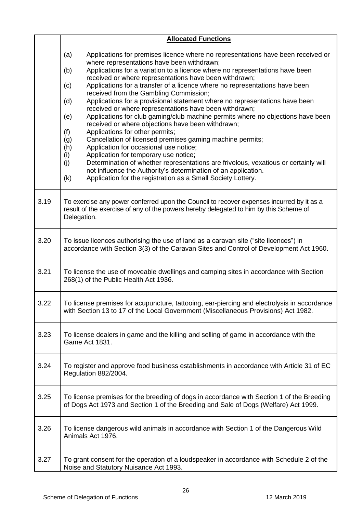|      | <b>Allocated Functions</b>                                                                                                                                                                                                                                                                                                                                                                                                                                                                                                                                                                                                                                                                                                                                                                                                                                                                                                                                                                                                                                                                                                                                                  |
|------|-----------------------------------------------------------------------------------------------------------------------------------------------------------------------------------------------------------------------------------------------------------------------------------------------------------------------------------------------------------------------------------------------------------------------------------------------------------------------------------------------------------------------------------------------------------------------------------------------------------------------------------------------------------------------------------------------------------------------------------------------------------------------------------------------------------------------------------------------------------------------------------------------------------------------------------------------------------------------------------------------------------------------------------------------------------------------------------------------------------------------------------------------------------------------------|
|      | Applications for premises licence where no representations have been received or<br>(a)<br>where representations have been withdrawn;<br>Applications for a variation to a licence where no representations have been<br>(b)<br>received or where representations have been withdrawn;<br>Applications for a transfer of a licence where no representations have been<br>(c)<br>received from the Gambling Commission;<br>Applications for a provisional statement where no representations have been<br>(d)<br>received or where representations have been withdrawn;<br>Applications for club gaming/club machine permits where no objections have been<br>(e)<br>received or where objections have been withdrawn;<br>Applications for other permits;<br>(f)<br>Cancellation of licensed premises gaming machine permits;<br>(g)<br>Application for occasional use notice;<br>(h)<br>Application for temporary use notice;<br>(i)<br>Determination of whether representations are frivolous, vexatious or certainly will<br>(j)<br>not influence the Authority's determination of an application.<br>Application for the registration as a Small Society Lottery.<br>(k) |
| 3.19 | To exercise any power conferred upon the Council to recover expenses incurred by it as a<br>result of the exercise of any of the powers hereby delegated to him by this Scheme of<br>Delegation.                                                                                                                                                                                                                                                                                                                                                                                                                                                                                                                                                                                                                                                                                                                                                                                                                                                                                                                                                                            |
| 3.20 | To issue licences authorising the use of land as a caravan site ("site licences") in<br>accordance with Section 3(3) of the Caravan Sites and Control of Development Act 1960.                                                                                                                                                                                                                                                                                                                                                                                                                                                                                                                                                                                                                                                                                                                                                                                                                                                                                                                                                                                              |
| 3.21 | To license the use of moveable dwellings and camping sites in accordance with Section<br>268(1) of the Public Health Act 1936.                                                                                                                                                                                                                                                                                                                                                                                                                                                                                                                                                                                                                                                                                                                                                                                                                                                                                                                                                                                                                                              |
| 3.22 | To license premises for acupuncture, tattooing, ear-piercing and electrolysis in accordance<br>with Section 13 to 17 of the Local Government (Miscellaneous Provisions) Act 1982.                                                                                                                                                                                                                                                                                                                                                                                                                                                                                                                                                                                                                                                                                                                                                                                                                                                                                                                                                                                           |
| 3.23 | To license dealers in game and the killing and selling of game in accordance with the<br>Game Act 1831.                                                                                                                                                                                                                                                                                                                                                                                                                                                                                                                                                                                                                                                                                                                                                                                                                                                                                                                                                                                                                                                                     |
| 3.24 | To register and approve food business establishments in accordance with Article 31 of EC<br>Regulation 882/2004.                                                                                                                                                                                                                                                                                                                                                                                                                                                                                                                                                                                                                                                                                                                                                                                                                                                                                                                                                                                                                                                            |
| 3.25 | To license premises for the breeding of dogs in accordance with Section 1 of the Breeding<br>of Dogs Act 1973 and Section 1 of the Breeding and Sale of Dogs (Welfare) Act 1999.                                                                                                                                                                                                                                                                                                                                                                                                                                                                                                                                                                                                                                                                                                                                                                                                                                                                                                                                                                                            |
| 3.26 | To license dangerous wild animals in accordance with Section 1 of the Dangerous Wild<br>Animals Act 1976.                                                                                                                                                                                                                                                                                                                                                                                                                                                                                                                                                                                                                                                                                                                                                                                                                                                                                                                                                                                                                                                                   |
| 3.27 | To grant consent for the operation of a loudspeaker in accordance with Schedule 2 of the<br>Noise and Statutory Nuisance Act 1993.                                                                                                                                                                                                                                                                                                                                                                                                                                                                                                                                                                                                                                                                                                                                                                                                                                                                                                                                                                                                                                          |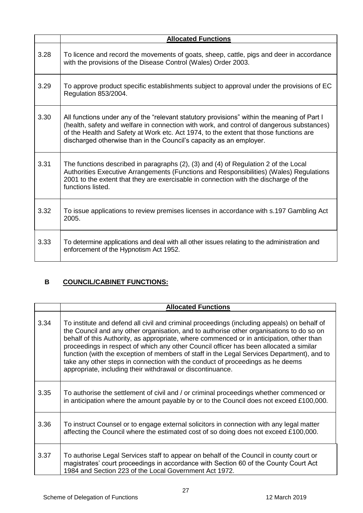|      | <b>Allocated Functions</b>                                                                                                                                                                                                                                                                                                                                |
|------|-----------------------------------------------------------------------------------------------------------------------------------------------------------------------------------------------------------------------------------------------------------------------------------------------------------------------------------------------------------|
| 3.28 | To licence and record the movements of goats, sheep, cattle, pigs and deer in accordance<br>with the provisions of the Disease Control (Wales) Order 2003.                                                                                                                                                                                                |
| 3.29 | To approve product specific establishments subject to approval under the provisions of EC<br>Regulation 853/2004.                                                                                                                                                                                                                                         |
| 3.30 | All functions under any of the "relevant statutory provisions" within the meaning of Part I<br>(health, safety and welfare in connection with work, and control of dangerous substances)<br>of the Health and Safety at Work etc. Act 1974, to the extent that those functions are<br>discharged otherwise than in the Council's capacity as an employer. |
| 3.31 | The functions described in paragraphs (2), (3) and (4) of Regulation 2 of the Local<br>Authorities Executive Arrangements (Functions and Responsibilities) (Wales) Regulations<br>2001 to the extent that they are exercisable in connection with the discharge of the<br>functions listed.                                                               |
| 3.32 | To issue applications to review premises licenses in accordance with s.197 Gambling Act<br>2005.                                                                                                                                                                                                                                                          |
| 3.33 | To determine applications and deal with all other issues relating to the administration and<br>enforcement of the Hypnotism Act 1952.                                                                                                                                                                                                                     |

## **B COUNCIL/CABINET FUNCTIONS:**

|      | <b>Allocated Functions</b>                                                                                                                                                                                                                                                                                                                                                                                                                                                                                                                                                                                                  |
|------|-----------------------------------------------------------------------------------------------------------------------------------------------------------------------------------------------------------------------------------------------------------------------------------------------------------------------------------------------------------------------------------------------------------------------------------------------------------------------------------------------------------------------------------------------------------------------------------------------------------------------------|
| 3.34 | To institute and defend all civil and criminal proceedings (including appeals) on behalf of<br>the Council and any other organisation, and to authorise other organisations to do so on<br>behalf of this Authority, as appropriate, where commenced or in anticipation, other than<br>proceedings in respect of which any other Council officer has been allocated a similar<br>function (with the exception of members of staff in the Legal Services Department), and to<br>take any other steps in connection with the conduct of proceedings as he deems<br>appropriate, including their withdrawal or discontinuance. |
| 3.35 | To authorise the settlement of civil and / or criminal proceedings whether commenced or<br>in anticipation where the amount payable by or to the Council does not exceed £100,000.                                                                                                                                                                                                                                                                                                                                                                                                                                          |
| 3.36 | To instruct Counsel or to engage external solicitors in connection with any legal matter<br>affecting the Council where the estimated cost of so doing does not exceed £100,000.                                                                                                                                                                                                                                                                                                                                                                                                                                            |
| 3.37 | To authorise Legal Services staff to appear on behalf of the Council in county court or<br>magistrates' court proceedings in accordance with Section 60 of the County Court Act<br>1984 and Section 223 of the Local Government Act 1972.                                                                                                                                                                                                                                                                                                                                                                                   |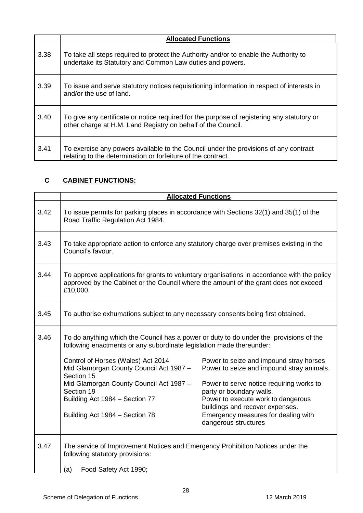|      | <b>Allocated Functions</b>                                                                                                                                 |
|------|------------------------------------------------------------------------------------------------------------------------------------------------------------|
| 3.38 | To take all steps required to protect the Authority and/or to enable the Authority to<br>undertake its Statutory and Common Law duties and powers.         |
| 3.39 | To issue and serve statutory notices requisitioning information in respect of interests in<br>and/or the use of land.                                      |
| 3.40 | To give any certificate or notice required for the purpose of registering any statutory or<br>other charge at H.M. Land Registry on behalf of the Council. |
| 3.41 | To exercise any powers available to the Council under the provisions of any contract<br>relating to the determination or forfeiture of the contract.       |

## **C CABINET FUNCTIONS:**

|      |                                                                                                                                                                | <b>Allocated Functions</b>                                                                                                                    |
|------|----------------------------------------------------------------------------------------------------------------------------------------------------------------|-----------------------------------------------------------------------------------------------------------------------------------------------|
| 3.42 | To issue permits for parking places in accordance with Sections 32(1) and 35(1) of the<br>Road Traffic Regulation Act 1984.                                    |                                                                                                                                               |
| 3.43 | To take appropriate action to enforce any statutory charge over premises existing in the<br>Council's favour.                                                  |                                                                                                                                               |
| 3.44 | approved by the Cabinet or the Council where the amount of the grant does not exceed<br>£10,000.                                                               | To approve applications for grants to voluntary organisations in accordance with the policy                                                   |
| 3.45 | To authorise exhumations subject to any necessary consents being first obtained.                                                                               |                                                                                                                                               |
| 3.46 | To do anything which the Council has a power or duty to do under the provisions of the<br>following enactments or any subordinate legislation made thereunder: |                                                                                                                                               |
|      | Control of Horses (Wales) Act 2014<br>Mid Glamorgan County Council Act 1987 -<br>Section 15                                                                    | Power to seize and impound stray horses<br>Power to seize and impound stray animals.                                                          |
|      | Mid Glamorgan County Council Act 1987 -<br>Section 19<br>Building Act 1984 - Section 77                                                                        | Power to serve notice requiring works to<br>party or boundary walls.<br>Power to execute work to dangerous<br>buildings and recover expenses. |
|      | Building Act 1984 - Section 78                                                                                                                                 | Emergency measures for dealing with<br>dangerous structures                                                                                   |
| 3.47 | The service of Improvement Notices and Emergency Prohibition Notices under the<br>following statutory provisions:                                              |                                                                                                                                               |
|      | Food Safety Act 1990;<br>(a)                                                                                                                                   |                                                                                                                                               |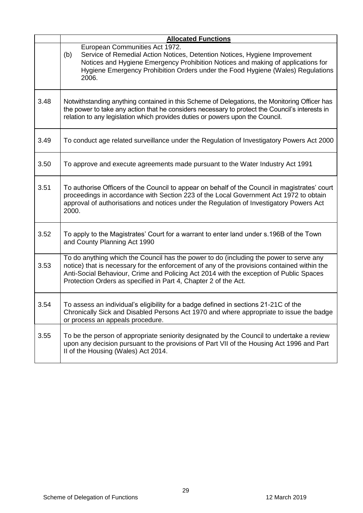|      | <b>Allocated Functions</b>                                                                                                                                                                                                                                                                                                                         |
|------|----------------------------------------------------------------------------------------------------------------------------------------------------------------------------------------------------------------------------------------------------------------------------------------------------------------------------------------------------|
|      | European Communities Act 1972.<br>Service of Remedial Action Notices, Detention Notices, Hygiene Improvement<br>(b)<br>Notices and Hygiene Emergency Prohibition Notices and making of applications for<br>Hygiene Emergency Prohibition Orders under the Food Hygiene (Wales) Regulations<br>2006.                                                |
| 3.48 | Notwithstanding anything contained in this Scheme of Delegations, the Monitoring Officer has<br>the power to take any action that he considers necessary to protect the Council's interests in<br>relation to any legislation which provides duties or powers upon the Council.                                                                    |
| 3.49 | To conduct age related surveillance under the Regulation of Investigatory Powers Act 2000                                                                                                                                                                                                                                                          |
| 3.50 | To approve and execute agreements made pursuant to the Water Industry Act 1991                                                                                                                                                                                                                                                                     |
| 3.51 | To authorise Officers of the Council to appear on behalf of the Council in magistrates' court<br>proceedings in accordance with Section 223 of the Local Government Act 1972 to obtain<br>approval of authorisations and notices under the Regulation of Investigatory Powers Act<br>2000.                                                         |
| 3.52 | To apply to the Magistrates' Court for a warrant to enter land under s.196B of the Town<br>and County Planning Act 1990                                                                                                                                                                                                                            |
| 3.53 | To do anything which the Council has the power to do (including the power to serve any<br>notice) that is necessary for the enforcement of any of the provisions contained within the<br>Anti-Social Behaviour, Crime and Policing Act 2014 with the exception of Public Spaces<br>Protection Orders as specified in Part 4, Chapter 2 of the Act. |
| 3.54 | To assess an individual's eligibility for a badge defined in sections 21-21C of the<br>Chronically Sick and Disabled Persons Act 1970 and where appropriate to issue the badge<br>or process an appeals procedure.                                                                                                                                 |
| 3.55 | To be the person of appropriate seniority designated by the Council to undertake a review<br>upon any decision pursuant to the provisions of Part VII of the Housing Act 1996 and Part<br>II of the Housing (Wales) Act 2014.                                                                                                                      |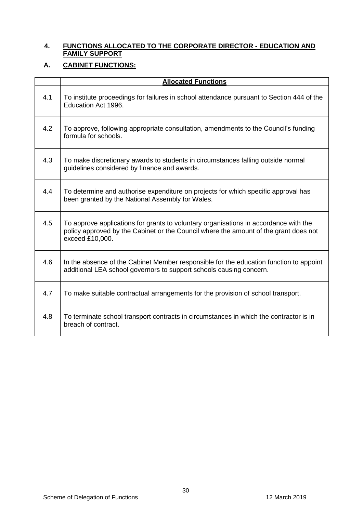#### **4. FUNCTIONS ALLOCATED TO THE CORPORATE DIRECTOR - EDUCATION AND FAMILY SUPPORT**

#### **A. CABINET FUNCTIONS:**

|     | <b>Allocated Functions</b>                                                                                                                                                                      |
|-----|-------------------------------------------------------------------------------------------------------------------------------------------------------------------------------------------------|
| 4.1 | To institute proceedings for failures in school attendance pursuant to Section 444 of the<br>Education Act 1996.                                                                                |
| 4.2 | To approve, following appropriate consultation, amendments to the Council's funding<br>formula for schools.                                                                                     |
| 4.3 | To make discretionary awards to students in circumstances falling outside normal<br>guidelines considered by finance and awards.                                                                |
| 4.4 | To determine and authorise expenditure on projects for which specific approval has<br>been granted by the National Assembly for Wales.                                                          |
| 4.5 | To approve applications for grants to voluntary organisations in accordance with the<br>policy approved by the Cabinet or the Council where the amount of the grant does not<br>exceed £10,000. |
| 4.6 | In the absence of the Cabinet Member responsible for the education function to appoint<br>additional LEA school governors to support schools causing concern.                                   |
| 4.7 | To make suitable contractual arrangements for the provision of school transport.                                                                                                                |
| 4.8 | To terminate school transport contracts in circumstances in which the contractor is in<br>breach of contract.                                                                                   |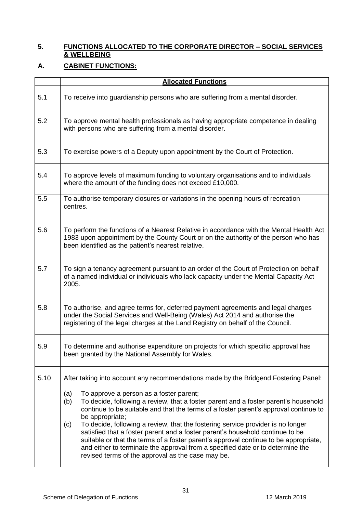#### **5. FUNCTIONS ALLOCATED TO THE CORPORATE DIRECTOR – SOCIAL SERVICES & WELLBEING**

## **A. CABINET FUNCTIONS:**

|      | <b>Allocated Functions</b>                                                                                                                                                                                                                                                                                                                                                                                                                                                                                                                                                                                                                                                                                                                               |  |  |
|------|----------------------------------------------------------------------------------------------------------------------------------------------------------------------------------------------------------------------------------------------------------------------------------------------------------------------------------------------------------------------------------------------------------------------------------------------------------------------------------------------------------------------------------------------------------------------------------------------------------------------------------------------------------------------------------------------------------------------------------------------------------|--|--|
| 5.1  | To receive into guardianship persons who are suffering from a mental disorder.                                                                                                                                                                                                                                                                                                                                                                                                                                                                                                                                                                                                                                                                           |  |  |
| 5.2  | To approve mental health professionals as having appropriate competence in dealing<br>with persons who are suffering from a mental disorder.                                                                                                                                                                                                                                                                                                                                                                                                                                                                                                                                                                                                             |  |  |
| 5.3  | To exercise powers of a Deputy upon appointment by the Court of Protection.                                                                                                                                                                                                                                                                                                                                                                                                                                                                                                                                                                                                                                                                              |  |  |
| 5.4  | To approve levels of maximum funding to voluntary organisations and to individuals<br>where the amount of the funding does not exceed £10,000.                                                                                                                                                                                                                                                                                                                                                                                                                                                                                                                                                                                                           |  |  |
| 5.5  | To authorise temporary closures or variations in the opening hours of recreation<br>centres.                                                                                                                                                                                                                                                                                                                                                                                                                                                                                                                                                                                                                                                             |  |  |
| 5.6  | To perform the functions of a Nearest Relative in accordance with the Mental Health Act<br>1983 upon appointment by the County Court or on the authority of the person who has<br>been identified as the patient's nearest relative.                                                                                                                                                                                                                                                                                                                                                                                                                                                                                                                     |  |  |
| 5.7  | To sign a tenancy agreement pursuant to an order of the Court of Protection on behalf<br>of a named individual or individuals who lack capacity under the Mental Capacity Act<br>2005.                                                                                                                                                                                                                                                                                                                                                                                                                                                                                                                                                                   |  |  |
| 5.8  | To authorise, and agree terms for, deferred payment agreements and legal charges<br>under the Social Services and Well-Being (Wales) Act 2014 and authorise the<br>registering of the legal charges at the Land Registry on behalf of the Council.                                                                                                                                                                                                                                                                                                                                                                                                                                                                                                       |  |  |
| 5.9  | To determine and authorise expenditure on projects for which specific approval has<br>been granted by the National Assembly for Wales.                                                                                                                                                                                                                                                                                                                                                                                                                                                                                                                                                                                                                   |  |  |
| 5.10 | After taking into account any recommendations made by the Bridgend Fostering Panel:<br>(a)<br>To approve a person as a foster parent;<br>To decide, following a review, that a foster parent and a foster parent's household<br>(b)<br>continue to be suitable and that the terms of a foster parent's approval continue to<br>be appropriate;<br>To decide, following a review, that the fostering service provider is no longer<br>(c)<br>satisfied that a foster parent and a foster parent's household continue to be<br>suitable or that the terms of a foster parent's approval continue to be appropriate,<br>and either to terminate the approval from a specified date or to determine the<br>revised terms of the approval as the case may be. |  |  |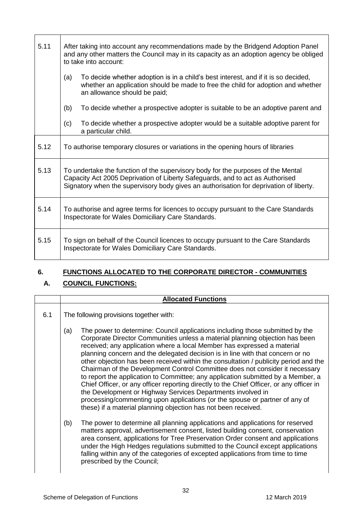| 5.11 | After taking into account any recommendations made by the Bridgend Adoption Panel<br>and any other matters the Council may in its capacity as an adoption agency be obliged<br>to take into account:                                                        |  |
|------|-------------------------------------------------------------------------------------------------------------------------------------------------------------------------------------------------------------------------------------------------------------|--|
|      | (a)<br>To decide whether adoption is in a child's best interest, and if it is so decided,<br>whether an application should be made to free the child for adoption and whether<br>an allowance should be paid;                                               |  |
|      | (b)<br>To decide whether a prospective adopter is suitable to be an adoptive parent and                                                                                                                                                                     |  |
|      | (c)<br>To decide whether a prospective adopter would be a suitable adoptive parent for<br>a particular child.                                                                                                                                               |  |
| 5.12 | To authorise temporary closures or variations in the opening hours of libraries                                                                                                                                                                             |  |
| 5.13 | To undertake the function of the supervisory body for the purposes of the Mental<br>Capacity Act 2005 Deprivation of Liberty Safeguards, and to act as Authorised<br>Signatory when the supervisory body gives an authorisation for deprivation of liberty. |  |
| 5.14 | To authorise and agree terms for licences to occupy pursuant to the Care Standards<br>Inspectorate for Wales Domiciliary Care Standards.                                                                                                                    |  |
| 5.15 | To sign on behalf of the Council licences to occupy pursuant to the Care Standards<br>Inspectorate for Wales Domiciliary Care Standards.                                                                                                                    |  |

## **6. FUNCTIONS ALLOCATED TO THE CORPORATE DIRECTOR - COMMUNITIES**

## **A. COUNCIL FUNCTIONS:**

|     |                                         | <b>Allocated Functions</b>                                                                                                                                                                                                                                                                                                                                                                                                                                                                                                                                                                                                                                                                                                                                                                                                                                                                         |
|-----|-----------------------------------------|----------------------------------------------------------------------------------------------------------------------------------------------------------------------------------------------------------------------------------------------------------------------------------------------------------------------------------------------------------------------------------------------------------------------------------------------------------------------------------------------------------------------------------------------------------------------------------------------------------------------------------------------------------------------------------------------------------------------------------------------------------------------------------------------------------------------------------------------------------------------------------------------------|
| 6.1 | The following provisions together with: |                                                                                                                                                                                                                                                                                                                                                                                                                                                                                                                                                                                                                                                                                                                                                                                                                                                                                                    |
|     | (a)                                     | The power to determine: Council applications including those submitted by the<br>Corporate Director Communities unless a material planning objection has been<br>received; any application where a local Member has expressed a material<br>planning concern and the delegated decision is in line with that concern or no<br>other objection has been received within the consultation / publicity period and the<br>Chairman of the Development Control Committee does not consider it necessary<br>to report the application to Committee; any application submitted by a Member, a<br>Chief Officer, or any officer reporting directly to the Chief Officer, or any officer in<br>the Development or Highway Services Departments involved in<br>processing/commenting upon applications (or the spouse or partner of any of<br>these) if a material planning objection has not been received. |
|     | (b)                                     | The power to determine all planning applications and applications for reserved<br>matters approval, advertisement consent, listed building consent, conservation<br>area consent, applications for Tree Preservation Order consent and applications<br>under the High Hedges regulations submitted to the Council except applications<br>falling within any of the categories of excepted applications from time to time<br>prescribed by the Council;                                                                                                                                                                                                                                                                                                                                                                                                                                             |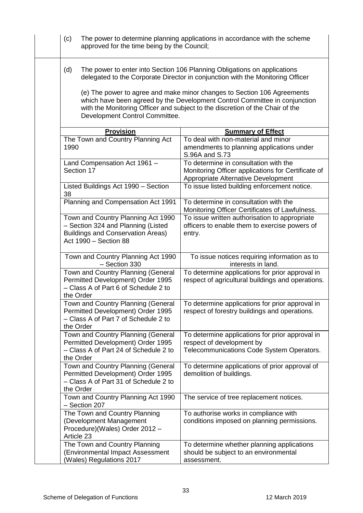| (c)  | approved for the time being by the Council;                                                                                                   | The power to determine planning applications in accordance with the scheme                                                                                                                                                            |
|------|-----------------------------------------------------------------------------------------------------------------------------------------------|---------------------------------------------------------------------------------------------------------------------------------------------------------------------------------------------------------------------------------------|
| (d)  |                                                                                                                                               | The power to enter into Section 106 Planning Obligations on applications<br>delegated to the Corporate Director in conjunction with the Monitoring Officer<br>(e) The power to agree and make minor changes to Section 106 Agreements |
|      | Development Control Committee.                                                                                                                | which have been agreed by the Development Control Committee in conjunction<br>with the Monitoring Officer and subject to the discretion of the Chair of the                                                                           |
|      | <b>Provision</b>                                                                                                                              | <b>Summary of Effect</b>                                                                                                                                                                                                              |
| 1990 | The Town and Country Planning Act                                                                                                             | To deal with non-material and minor<br>amendments to planning applications under<br>S.96A and S.73                                                                                                                                    |
|      | Land Compensation Act 1961 -<br>Section 17                                                                                                    | To determine in consultation with the<br>Monitoring Officer applications for Certificate of<br>Appropriate Alternative Development                                                                                                    |
| 38   | Listed Buildings Act 1990 - Section                                                                                                           | To issue listed building enforcement notice.                                                                                                                                                                                          |
|      | Planning and Compensation Act 1991                                                                                                            | To determine in consultation with the<br>Monitoring Officer Certificates of Lawfulness.                                                                                                                                               |
|      | Town and Country Planning Act 1990<br>- Section 324 and Planning (Listed<br><b>Buildings and Conservation Areas)</b><br>Act 1990 - Section 88 | To issue written authorisation to appropriate<br>officers to enable them to exercise powers of<br>entry.                                                                                                                              |
|      | Town and Country Planning Act 1990<br>- Section 330                                                                                           | To issue notices requiring information as to<br>interests in land.                                                                                                                                                                    |
|      | Town and Country Planning (General<br>Permitted Development) Order 1995<br>- Class A of Part 6 of Schedule 2 to<br>the Order                  | To determine applications for prior approval in<br>respect of agricultural buildings and operations.                                                                                                                                  |
|      | Town and Country Planning (General<br>Permitted Development) Order 1995<br>- Class A of Part 7 of Schedule 2 to<br>the Order                  | To determine applications for prior approval in<br>respect of forestry buildings and operations.                                                                                                                                      |
|      | Town and Country Planning (General<br>Permitted Development) Order 1995<br>- Class A of Part 24 of Schedule 2 to<br>the Order                 | To determine applications for prior approval in<br>respect of development by<br>Telecommunications Code System Operators.                                                                                                             |
|      | Town and Country Planning (General<br>Permitted Development) Order 1995<br>- Class A of Part 31 of Schedule 2 to<br>the Order                 | To determine applications of prior approval of<br>demolition of buildings.                                                                                                                                                            |
|      | Town and Country Planning Act 1990<br>- Section 207                                                                                           | The service of tree replacement notices.                                                                                                                                                                                              |
|      | The Town and Country Planning<br>(Development Management<br>Procedure)(Wales) Order 2012 -<br>Article 23                                      | To authorise works in compliance with<br>conditions imposed on planning permissions.                                                                                                                                                  |
|      | The Town and Country Planning<br>(Environmental Impact Assessment<br>(Wales) Regulations 2017                                                 | To determine whether planning applications<br>should be subject to an environmental<br>assessment.                                                                                                                                    |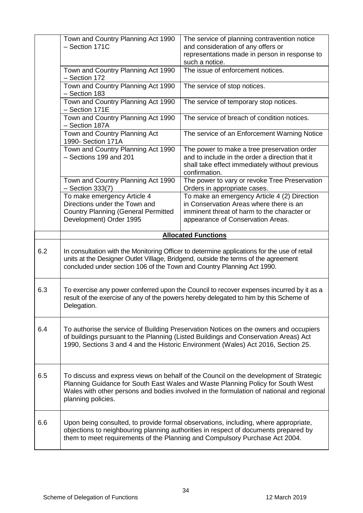|     | Town and Country Planning Act 1990<br>- Section 171C                                                                                                                                                                                                                                       | The service of planning contravention notice<br>and consideration of any offers or<br>representations made in person in response to<br>such a notice.                       |
|-----|--------------------------------------------------------------------------------------------------------------------------------------------------------------------------------------------------------------------------------------------------------------------------------------------|-----------------------------------------------------------------------------------------------------------------------------------------------------------------------------|
|     | Town and Country Planning Act 1990<br>- Section 172                                                                                                                                                                                                                                        | The issue of enforcement notices.                                                                                                                                           |
|     | Town and Country Planning Act 1990<br>- Section 183                                                                                                                                                                                                                                        | The service of stop notices.                                                                                                                                                |
|     | Town and Country Planning Act 1990<br>- Section 171E                                                                                                                                                                                                                                       | The service of temporary stop notices.                                                                                                                                      |
|     | Town and Country Planning Act 1990<br>- Section 187A                                                                                                                                                                                                                                       | The service of breach of condition notices.                                                                                                                                 |
|     | Town and Country Planning Act<br>1990- Section 171A                                                                                                                                                                                                                                        | The service of an Enforcement Warning Notice                                                                                                                                |
|     | Town and Country Planning Act 1990<br>- Sections 199 and 201                                                                                                                                                                                                                               | The power to make a tree preservation order<br>and to include in the order a direction that it<br>shall take effect immediately without previous<br>confirmation.           |
|     | Town and Country Planning Act 1990<br>$-$ Section 333(7)                                                                                                                                                                                                                                   | The power to vary or revoke Tree Preservation<br>Orders in appropriate cases.                                                                                               |
|     | To make emergency Article 4<br>Directions under the Town and<br><b>Country Planning (General Permitted</b><br>Development) Order 1995                                                                                                                                                      | To make an emergency Article 4 (2) Direction<br>in Conservation Areas where there is an<br>imminent threat of harm to the character or<br>appearance of Conservation Areas. |
|     |                                                                                                                                                                                                                                                                                            | <b>Allocated Functions</b>                                                                                                                                                  |
| 6.2 | In consultation with the Monitoring Officer to determine applications for the use of retail<br>units at the Designer Outlet Village, Bridgend, outside the terms of the agreement<br>concluded under section 106 of the Town and Country Planning Act 1990.                                |                                                                                                                                                                             |
| 6.3 | To exercise any power conferred upon the Council to recover expenses incurred by it as a<br>result of the exercise of any of the powers hereby delegated to him by this Scheme of<br>Delegation.                                                                                           |                                                                                                                                                                             |
| 6.4 | To authorise the service of Building Preservation Notices on the owners and occupiers<br>of buildings pursuant to the Planning (Listed Buildings and Conservation Areas) Act<br>1990, Sections 3 and 4 and the Historic Environment (Wales) Act 2016, Section 25.                          |                                                                                                                                                                             |
| 6.5 | To discuss and express views on behalf of the Council on the development of Strategic<br>Planning Guidance for South East Wales and Waste Planning Policy for South West<br>Wales with other persons and bodies involved in the formulation of national and regional<br>planning policies. |                                                                                                                                                                             |
| 6.6 | Upon being consulted, to provide formal observations, including, where appropriate,<br>objections to neighbouring planning authorities in respect of documents prepared by<br>them to meet requirements of the Planning and Compulsory Purchase Act 2004.                                  |                                                                                                                                                                             |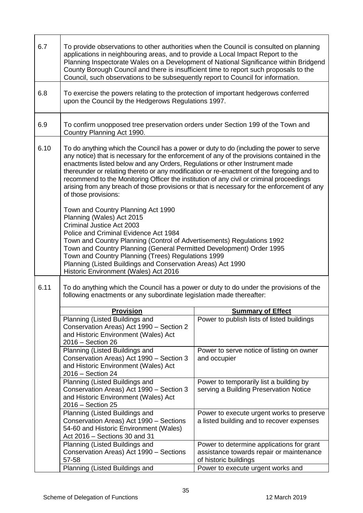| 6.7  | To provide observations to other authorities when the Council is consulted on planning<br>applications in neighbouring areas, and to provide a Local Impact Report to the<br>Planning Inspectorate Wales on a Development of National Significance within Bridgend<br>County Borough Council and there is insufficient time to report such proposals to the<br>Council, such observations to be subsequently report to Council for information.                                                                                                                                          |                                                                                                                |  |
|------|------------------------------------------------------------------------------------------------------------------------------------------------------------------------------------------------------------------------------------------------------------------------------------------------------------------------------------------------------------------------------------------------------------------------------------------------------------------------------------------------------------------------------------------------------------------------------------------|----------------------------------------------------------------------------------------------------------------|--|
| 6.8  | To exercise the powers relating to the protection of important hedgerows conferred<br>upon the Council by the Hedgerows Regulations 1997.                                                                                                                                                                                                                                                                                                                                                                                                                                                |                                                                                                                |  |
| 6.9  | To confirm unopposed tree preservation orders under Section 199 of the Town and<br>Country Planning Act 1990.                                                                                                                                                                                                                                                                                                                                                                                                                                                                            |                                                                                                                |  |
| 6.10 | To do anything which the Council has a power or duty to do (including the power to serve<br>any notice) that is necessary for the enforcement of any of the provisions contained in the<br>enactments listed below and any Orders, Regulations or other Instrument made<br>thereunder or relating thereto or any modification or re-enactment of the foregoing and to<br>recommend to the Monitoring Officer the institution of any civil or criminal proceedings<br>arising from any breach of those provisions or that is necessary for the enforcement of any<br>of those provisions: |                                                                                                                |  |
|      | Town and Country Planning Act 1990<br>Planning (Wales) Act 2015<br>Criminal Justice Act 2003<br>Police and Criminal Evidence Act 1984<br>Town and Country Planning (Control of Advertisements) Regulations 1992<br>Town and Country Planning (General Permitted Development) Order 1995<br>Town and Country Planning (Trees) Regulations 1999<br>Planning (Listed Buildings and Conservation Areas) Act 1990<br>Historic Environment (Wales) Act 2016                                                                                                                                    |                                                                                                                |  |
| 6.11 | To do anything which the Council has a power or duty to do under the provisions of the<br>following enactments or any subordinate legislation made thereafter:                                                                                                                                                                                                                                                                                                                                                                                                                           |                                                                                                                |  |
|      | <b>Provision</b>                                                                                                                                                                                                                                                                                                                                                                                                                                                                                                                                                                         | <b>Summary of Effect</b>                                                                                       |  |
|      | Planning (Listed Buildings and<br>Conservation Areas) Act 1990 - Section 2<br>and Historic Environment (Wales) Act<br>2016 - Section 26                                                                                                                                                                                                                                                                                                                                                                                                                                                  | Power to publish lists of listed buildings                                                                     |  |
|      | Planning (Listed Buildings and<br>Conservation Areas) Act 1990 - Section 3<br>and Historic Environment (Wales) Act<br>2016 - Section 24                                                                                                                                                                                                                                                                                                                                                                                                                                                  | Power to serve notice of listing on owner<br>and occupier                                                      |  |
|      | Planning (Listed Buildings and<br>Conservation Areas) Act 1990 - Section 3<br>and Historic Environment (Wales) Act<br>2016 - Section 25                                                                                                                                                                                                                                                                                                                                                                                                                                                  | Power to temporarily list a building by<br>serving a Building Preservation Notice                              |  |
|      | Planning (Listed Buildings and<br>Conservation Areas) Act 1990 - Sections<br>54-60 and Historic Environment (Wales)<br>Act 2016 - Sections 30 and 31                                                                                                                                                                                                                                                                                                                                                                                                                                     | Power to execute urgent works to preserve<br>a listed building and to recover expenses                         |  |
|      | Planning (Listed Buildings and<br>Conservation Areas) Act 1990 - Sections<br>57-58<br>Planning (Listed Buildings and                                                                                                                                                                                                                                                                                                                                                                                                                                                                     | Power to determine applications for grant<br>assistance towards repair or maintenance<br>of historic buildings |  |
|      |                                                                                                                                                                                                                                                                                                                                                                                                                                                                                                                                                                                          | Power to execute urgent works and                                                                              |  |

ř.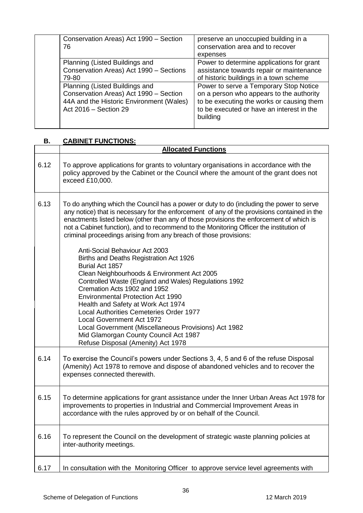| Conservation Areas) Act 1990 - Section<br>76                                                                                                  | preserve an unoccupied building in a<br>conservation area and to recover<br>expenses                                                                                                     |
|-----------------------------------------------------------------------------------------------------------------------------------------------|------------------------------------------------------------------------------------------------------------------------------------------------------------------------------------------|
| Planning (Listed Buildings and<br>Conservation Areas) Act 1990 - Sections<br>79-80                                                            | Power to determine applications for grant<br>assistance towards repair or maintenance<br>of historic buildings in a town scheme                                                          |
| Planning (Listed Buildings and<br>Conservation Areas) Act 1990 - Section<br>44A and the Historic Environment (Wales)<br>Act 2016 - Section 29 | Power to serve a Temporary Stop Notice<br>on a person who appears to the authority<br>to be executing the works or causing them<br>to be executed or have an interest in the<br>building |

### **B. CABINET FUNCTIONS:**

|      | <b>Allocated Functions</b>                                                                                                                                                                                                                                                                                                                                                                                                                                    |
|------|---------------------------------------------------------------------------------------------------------------------------------------------------------------------------------------------------------------------------------------------------------------------------------------------------------------------------------------------------------------------------------------------------------------------------------------------------------------|
| 6.12 | To approve applications for grants to voluntary organisations in accordance with the<br>policy approved by the Cabinet or the Council where the amount of the grant does not<br>exceed £10,000.                                                                                                                                                                                                                                                               |
| 6.13 | To do anything which the Council has a power or duty to do (including the power to serve<br>any notice) that is necessary for the enforcement of any of the provisions contained in the<br>enactments listed below (other than any of those provisions the enforcement of which is<br>not a Cabinet function), and to recommend to the Monitoring Officer the institution of<br>criminal proceedings arising from any breach of those provisions:             |
|      | Anti-Social Behaviour Act 2003<br>Births and Deaths Registration Act 1926<br>Burial Act 1857<br>Clean Neighbourhoods & Environment Act 2005<br>Controlled Waste (England and Wales) Regulations 1992<br>Cremation Acts 1902 and 1952<br><b>Environmental Protection Act 1990</b><br>Health and Safety at Work Act 1974<br>Local Authorities Cemeteries Order 1977<br><b>Local Government Act 1972</b><br>Local Government (Miscellaneous Provisions) Act 1982 |
|      | Mid Glamorgan County Council Act 1987<br>Refuse Disposal (Amenity) Act 1978                                                                                                                                                                                                                                                                                                                                                                                   |
| 6.14 | To exercise the Council's powers under Sections 3, 4, 5 and 6 of the refuse Disposal<br>(Amenity) Act 1978 to remove and dispose of abandoned vehicles and to recover the<br>expenses connected therewith.                                                                                                                                                                                                                                                    |
| 6.15 | To determine applications for grant assistance under the Inner Urban Areas Act 1978 for<br>improvements to properties in Industrial and Commercial Improvement Areas in<br>accordance with the rules approved by or on behalf of the Council.                                                                                                                                                                                                                 |
| 6.16 | To represent the Council on the development of strategic waste planning policies at<br>inter-authority meetings.                                                                                                                                                                                                                                                                                                                                              |
| 6.17 | In consultation with the Monitoring Officer to approve service level agreements with                                                                                                                                                                                                                                                                                                                                                                          |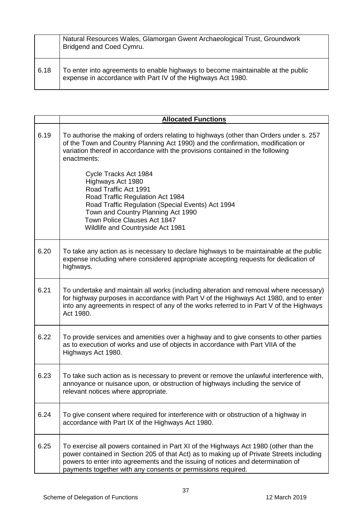|      | Natural Resources Wales, Glamorgan Gwent Archaeological Trust, Groundwork<br>Bridgend and Coed Cymru.                                            |
|------|--------------------------------------------------------------------------------------------------------------------------------------------------|
| 6.18 | To enter into agreements to enable highways to become maintainable at the public<br>expense in accordance with Part IV of the Highways Act 1980. |

|      | <b>Allocated Functions</b>                                                                                                                                                                                                                                                                                                          |
|------|-------------------------------------------------------------------------------------------------------------------------------------------------------------------------------------------------------------------------------------------------------------------------------------------------------------------------------------|
| 6.19 | To authorise the making of orders relating to highways (other than Orders under s. 257<br>of the Town and Country Planning Act 1990) and the confirmation, modification or<br>variation thereof in accordance with the provisions contained in the following<br>enactments:                                                         |
|      | Cycle Tracks Act 1984<br>Highways Act 1980<br>Road Traffic Act 1991<br>Road Traffic Regulation Act 1984<br>Road Traffic Regulation (Special Events) Act 1994<br>Town and Country Planning Act 1990<br>Town Police Clauses Act 1847<br>Wildlife and Countryside Act 1981                                                             |
| 6.20 | To take any action as is necessary to declare highways to be maintainable at the public<br>expense including where considered appropriate accepting requests for dedication of<br>highways.                                                                                                                                         |
| 6.21 | To undertake and maintain all works (including alteration and removal where necessary)<br>for highway purposes in accordance with Part V of the Highways Act 1980, and to enter<br>into any agreements in respect of any of the works referred to in Part V of the Highways<br>Act 1980.                                            |
| 6.22 | To provide services and amenities over a highway and to give consents to other parties<br>as to execution of works and use of objects in accordance with Part VIIA of the<br>Highways Act 1980.                                                                                                                                     |
| 6.23 | To take such action as is necessary to prevent or remove the unlawful interference with,<br>annoyance or nuisance upon, or obstruction of highways including the service of<br>relevant notices where appropriate.                                                                                                                  |
| 6.24 | To give consent where required for interference with or obstruction of a highway in<br>accordance with Part IX of the Highways Act 1980.                                                                                                                                                                                            |
| 6.25 | To exercise all powers contained in Part XI of the Highways Act 1980 (other than the<br>power contained in Section 205 of that Act) as to making up of Private Streets including<br>powers to enter into agreements and the issuing of notices and determination of<br>payments together with any consents or permissions required. |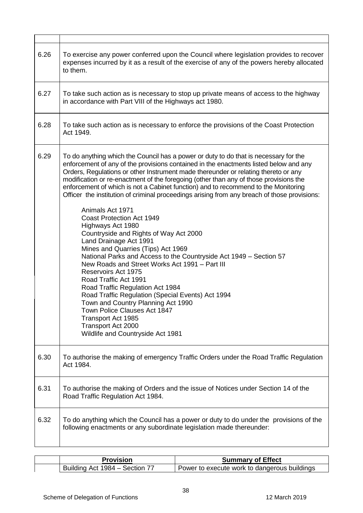| 6.26 | To exercise any power conferred upon the Council where legislation provides to recover<br>expenses incurred by it as a result of the exercise of any of the powers hereby allocated<br>to them.                                                                                                                                                                                                                                                                                                                                                                                                                                                                                                                                                                                                                                                                                                                                                                                                                                                                                                                                                                   |
|------|-------------------------------------------------------------------------------------------------------------------------------------------------------------------------------------------------------------------------------------------------------------------------------------------------------------------------------------------------------------------------------------------------------------------------------------------------------------------------------------------------------------------------------------------------------------------------------------------------------------------------------------------------------------------------------------------------------------------------------------------------------------------------------------------------------------------------------------------------------------------------------------------------------------------------------------------------------------------------------------------------------------------------------------------------------------------------------------------------------------------------------------------------------------------|
| 6.27 | To take such action as is necessary to stop up private means of access to the highway<br>in accordance with Part VIII of the Highways act 1980.                                                                                                                                                                                                                                                                                                                                                                                                                                                                                                                                                                                                                                                                                                                                                                                                                                                                                                                                                                                                                   |
| 6.28 | To take such action as is necessary to enforce the provisions of the Coast Protection<br>Act 1949.                                                                                                                                                                                                                                                                                                                                                                                                                                                                                                                                                                                                                                                                                                                                                                                                                                                                                                                                                                                                                                                                |
| 6.29 | To do anything which the Council has a power or duty to do that is necessary for the<br>enforcement of any of the provisions contained in the enactments listed below and any<br>Orders, Regulations or other Instrument made thereunder or relating thereto or any<br>modification or re-enactment of the foregoing (other than any of those provisions the<br>enforcement of which is not a Cabinet function) and to recommend to the Monitoring<br>Officer the institution of criminal proceedings arising from any breach of those provisions:<br>Animals Act 1971<br><b>Coast Protection Act 1949</b><br>Highways Act 1980<br>Countryside and Rights of Way Act 2000<br>Land Drainage Act 1991<br>Mines and Quarries (Tips) Act 1969<br>National Parks and Access to the Countryside Act 1949 - Section 57<br>New Roads and Street Works Act 1991 – Part III<br>Reservoirs Act 1975<br>Road Traffic Act 1991<br>Road Traffic Regulation Act 1984<br>Road Traffic Regulation (Special Events) Act 1994<br>Town and Country Planning Act 1990<br>Town Police Clauses Act 1847<br>Transport Act 1985<br>Transport Act 2000<br>Wildlife and Countryside Act 1981 |
| 6.30 | To authorise the making of emergency Traffic Orders under the Road Traffic Regulation<br>Act 1984.                                                                                                                                                                                                                                                                                                                                                                                                                                                                                                                                                                                                                                                                                                                                                                                                                                                                                                                                                                                                                                                                |
| 6.31 | To authorise the making of Orders and the issue of Notices under Section 14 of the<br>Road Traffic Regulation Act 1984.                                                                                                                                                                                                                                                                                                                                                                                                                                                                                                                                                                                                                                                                                                                                                                                                                                                                                                                                                                                                                                           |
| 6.32 | To do anything which the Council has a power or duty to do under the provisions of the<br>following enactments or any subordinate legislation made thereunder:                                                                                                                                                                                                                                                                                                                                                                                                                                                                                                                                                                                                                                                                                                                                                                                                                                                                                                                                                                                                    |

| Provision                      | <b>Summary of Effect</b>                     |
|--------------------------------|----------------------------------------------|
| Building Act 1984 – Section 77 | Power to execute work to dangerous buildings |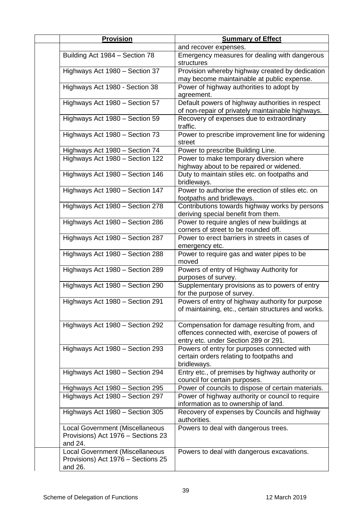| <b>Provision</b>                                                                        | <b>Summary of Effect</b>                                                                                                              |
|-----------------------------------------------------------------------------------------|---------------------------------------------------------------------------------------------------------------------------------------|
|                                                                                         | and recover expenses.                                                                                                                 |
| Building Act 1984 - Section 78                                                          | Emergency measures for dealing with dangerous<br>structures                                                                           |
| Highways Act 1980 - Section 37                                                          | Provision whereby highway created by dedication<br>may become maintainable at public expense.                                         |
| Highways Act 1980 - Section 38                                                          | Power of highway authorities to adopt by                                                                                              |
|                                                                                         | agreement.                                                                                                                            |
| Highways Act 1980 - Section 57                                                          | Default powers of highway authorities in respect<br>of non-repair of privately maintainable highways.                                 |
| Highways Act 1980 - Section 59                                                          | Recovery of expenses due to extraordinary<br>traffic.                                                                                 |
| Highways Act 1980 - Section 73                                                          | Power to prescribe improvement line for widening<br>street                                                                            |
| Highways Act 1980 - Section 74                                                          | Power to prescribe Building Line.                                                                                                     |
| Highways Act 1980 - Section 122                                                         | Power to make temporary diversion where                                                                                               |
|                                                                                         | highway about to be repaired or widened.                                                                                              |
| Highways Act 1980 - Section 146                                                         | Duty to maintain stiles etc. on footpaths and<br>bridleways.                                                                          |
| Highways Act 1980 - Section 147                                                         | Power to authorise the erection of stiles etc. on<br>footpaths and bridleways.                                                        |
| Highways Act 1980 - Section 278                                                         | Contributions towards highway works by persons                                                                                        |
|                                                                                         | deriving special benefit from them.                                                                                                   |
| Highways Act 1980 - Section 286                                                         | Power to require angles of new buildings at                                                                                           |
|                                                                                         | corners of street to be rounded off.                                                                                                  |
| Highways Act 1980 - Section 287                                                         | Power to erect barriers in streets in cases of<br>emergency etc.                                                                      |
| Highways Act 1980 - Section 288                                                         | Power to require gas and water pipes to be<br>moved                                                                                   |
| Highways Act 1980 - Section 289                                                         | Powers of entry of Highway Authority for<br>purposes of survey.                                                                       |
| Highways Act 1980 - Section 290                                                         | Supplementary provisions as to powers of entry<br>for the purpose of survey.                                                          |
| Highways Act 1980 - Section 291                                                         | Powers of entry of highway authority for purpose<br>of maintaining, etc., certain structures and works.                               |
| Highways Act 1980 - Section 292                                                         | Compensation for damage resulting from, and<br>offences connected with, exercise of powers of<br>entry etc. under Section 289 or 291. |
| Highways Act 1980 - Section 293                                                         | Powers of entry for purposes connected with<br>certain orders relating to footpaths and<br>bridleways.                                |
| Highways Act 1980 - Section 294                                                         | Entry etc., of premises by highway authority or<br>council for certain purposes.                                                      |
| Highways Act 1980 - Section 295                                                         | Power of councils to dispose of certain materials.                                                                                    |
| Highways Act 1980 - Section 297                                                         | Power of highway authority or council to require<br>information as to ownership of land.                                              |
| Highways Act 1980 - Section 305                                                         | Recovery of expenses by Councils and highway<br>authorities.                                                                          |
| Local Government (Miscellaneous<br>Provisions) Act 1976 - Sections 23<br>and 24.        | Powers to deal with dangerous trees.                                                                                                  |
| <b>Local Government (Miscellaneous</b><br>Provisions) Act 1976 - Sections 25<br>and 26. | Powers to deal with dangerous excavations.                                                                                            |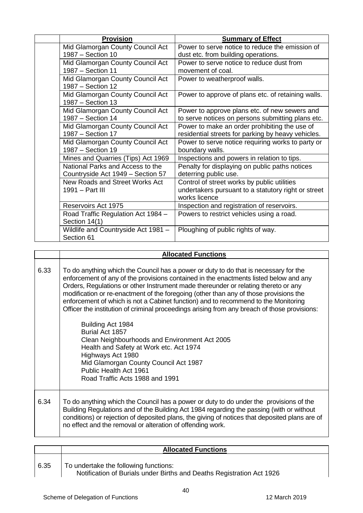| <b>Provision</b>                                                      | <b>Summary of Effect</b>                                                                                            |
|-----------------------------------------------------------------------|---------------------------------------------------------------------------------------------------------------------|
| Mid Glamorgan County Council Act                                      | Power to serve notice to reduce the emission of                                                                     |
| 1987 - Section 10                                                     | dust etc. from building operations.                                                                                 |
| Mid Glamorgan County Council Act<br>1987 - Section 11                 | Power to serve notice to reduce dust from<br>movement of coal.                                                      |
| Mid Glamorgan County Council Act<br>1987 - Section 12                 | Power to weatherproof walls.                                                                                        |
| Mid Glamorgan County Council Act<br>1987 - Section 13                 | Power to approve of plans etc. of retaining walls.                                                                  |
| Mid Glamorgan County Council Act<br>1987 - Section 14                 | Power to approve plans etc. of new sewers and<br>to serve notices on persons submitting plans etc.                  |
| Mid Glamorgan County Council Act<br>1987 - Section 17                 | Power to make an order prohibiting the use of<br>residential streets for parking by heavy vehicles.                 |
| Mid Glamorgan County Council Act<br>1987 - Section 19                 | Power to serve notice requiring works to party or<br>boundary walls.                                                |
| Mines and Quarries (Tips) Act 1969                                    | Inspections and powers in relation to tips.                                                                         |
| National Parks and Access to the<br>Countryside Act 1949 - Section 57 | Penalty for displaying on public paths notices<br>deterring public use.                                             |
| New Roads and Street Works Act<br>1991 - Part III                     | Control of street works by public utilities<br>undertakers pursuant to a statutory right or street<br>works licence |
| Reservoirs Act 1975                                                   | Inspection and registration of reservoirs.                                                                          |
| Road Traffic Regulation Act 1984 -<br>Section 14(1)                   | Powers to restrict vehicles using a road.                                                                           |
| Wildlife and Countryside Act 1981 -<br>Section 61                     | Ploughing of public rights of way.                                                                                  |

|      | <b>Allocated Functions</b>                                                                                                                                                                                                                                                                                                                                                                                                                                                                                                                                                                                                                                                                                                                                                                                        |
|------|-------------------------------------------------------------------------------------------------------------------------------------------------------------------------------------------------------------------------------------------------------------------------------------------------------------------------------------------------------------------------------------------------------------------------------------------------------------------------------------------------------------------------------------------------------------------------------------------------------------------------------------------------------------------------------------------------------------------------------------------------------------------------------------------------------------------|
| 6.33 | To do anything which the Council has a power or duty to do that is necessary for the<br>enforcement of any of the provisions contained in the enactments listed below and any<br>Orders, Regulations or other Instrument made thereunder or relating thereto or any<br>modification or re-enactment of the foregoing (other than any of those provisions the<br>enforcement of which is not a Cabinet function) and to recommend to the Monitoring<br>Officer the institution of criminal proceedings arising from any breach of those provisions:<br>Building Act 1984<br>Burial Act 1857<br>Clean Neighbourhoods and Environment Act 2005<br>Health and Safety at Work etc. Act 1974<br>Highways Act 1980<br>Mid Glamorgan County Council Act 1987<br>Public Health Act 1961<br>Road Traffic Acts 1988 and 1991 |
| 6.34 | To do anything which the Council has a power or duty to do under the provisions of the<br>Building Regulations and of the Building Act 1984 regarding the passing (with or without<br>conditions) or rejection of deposited plans, the giving of notices that deposited plans are of<br>no effect and the removal or alteration of offending work.                                                                                                                                                                                                                                                                                                                                                                                                                                                                |

|      | <b>Allocated Functions</b>                                                                                     |
|------|----------------------------------------------------------------------------------------------------------------|
| 6.35 | To undertake the following functions:<br>Notification of Burials under Births and Deaths Registration Act 1926 |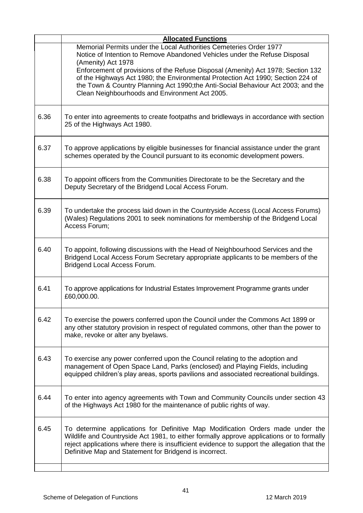|      | <b>Allocated Functions</b>                                                                                                                                                                                                                                                                                                             |
|------|----------------------------------------------------------------------------------------------------------------------------------------------------------------------------------------------------------------------------------------------------------------------------------------------------------------------------------------|
|      | Memorial Permits under the Local Authorities Cemeteries Order 1977<br>Notice of Intention to Remove Abandoned Vehicles under the Refuse Disposal<br>(Amenity) Act 1978                                                                                                                                                                 |
|      | Enforcement of provisions of the Refuse Disposal (Amenity) Act 1978; Section 132<br>of the Highways Act 1980; the Environmental Protection Act 1990; Section 224 of<br>the Town & Country Planning Act 1990;the Anti-Social Behaviour Act 2003; and the<br>Clean Neighbourhoods and Environment Act 2005.                              |
| 6.36 | To enter into agreements to create footpaths and bridleways in accordance with section<br>25 of the Highways Act 1980.                                                                                                                                                                                                                 |
| 6.37 | To approve applications by eligible businesses for financial assistance under the grant<br>schemes operated by the Council pursuant to its economic development powers.                                                                                                                                                                |
| 6.38 | To appoint officers from the Communities Directorate to be the Secretary and the<br>Deputy Secretary of the Bridgend Local Access Forum.                                                                                                                                                                                               |
| 6.39 | To undertake the process laid down in the Countryside Access (Local Access Forums)<br>(Wales) Regulations 2001 to seek nominations for membership of the Bridgend Local<br>Access Forum:                                                                                                                                               |
| 6.40 | To appoint, following discussions with the Head of Neighbourhood Services and the<br>Bridgend Local Access Forum Secretary appropriate applicants to be members of the<br>Bridgend Local Access Forum.                                                                                                                                 |
| 6.41 | To approve applications for Industrial Estates Improvement Programme grants under<br>£60,000.00.                                                                                                                                                                                                                                       |
| 6.42 | To exercise the powers conferred upon the Council under the Commons Act 1899 or<br>any other statutory provision in respect of regulated commons, other than the power to<br>make, revoke or alter any byelaws.                                                                                                                        |
| 6.43 | To exercise any power conferred upon the Council relating to the adoption and<br>management of Open Space Land, Parks (enclosed) and Playing Fields, including<br>equipped children's play areas, sports pavilions and associated recreational buildings.                                                                              |
| 6.44 | To enter into agency agreements with Town and Community Councils under section 43<br>of the Highways Act 1980 for the maintenance of public rights of way.                                                                                                                                                                             |
| 6.45 | To determine applications for Definitive Map Modification Orders made under the<br>Wildlife and Countryside Act 1981, to either formally approve applications or to formally<br>reject applications where there is insufficient evidence to support the allegation that the<br>Definitive Map and Statement for Bridgend is incorrect. |
|      |                                                                                                                                                                                                                                                                                                                                        |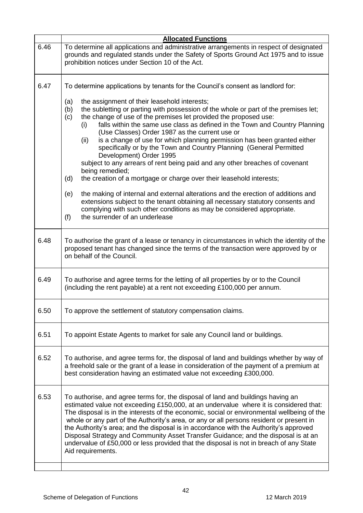| To determine all applications and administrative arrangements in respect of designated<br>grounds and regulated stands under the Safety of Sports Ground Act 1975 and to issue                                                                                                                                                                                                                                                                                                                                                                                                                                                             |
|--------------------------------------------------------------------------------------------------------------------------------------------------------------------------------------------------------------------------------------------------------------------------------------------------------------------------------------------------------------------------------------------------------------------------------------------------------------------------------------------------------------------------------------------------------------------------------------------------------------------------------------------|
| To determine applications by tenants for the Council's consent as landlord for:<br>the subletting or parting with possession of the whole or part of the premises let;<br>falls within the same use class as defined in the Town and Country Planning<br>is a change of use for which planning permission has been granted either<br>specifically or by the Town and Country Planning (General Permitted                                                                                                                                                                                                                                   |
| subject to any arrears of rent being paid and any other breaches of covenant                                                                                                                                                                                                                                                                                                                                                                                                                                                                                                                                                               |
| the making of internal and external alterations and the erection of additions and<br>extensions subject to the tenant obtaining all necessary statutory consents and<br>complying with such other conditions as may be considered appropriate.                                                                                                                                                                                                                                                                                                                                                                                             |
| To authorise the grant of a lease or tenancy in circumstances in which the identity of the<br>proposed tenant has changed since the terms of the transaction were approved by or                                                                                                                                                                                                                                                                                                                                                                                                                                                           |
| To authorise and agree terms for the letting of all properties by or to the Council                                                                                                                                                                                                                                                                                                                                                                                                                                                                                                                                                        |
|                                                                                                                                                                                                                                                                                                                                                                                                                                                                                                                                                                                                                                            |
|                                                                                                                                                                                                                                                                                                                                                                                                                                                                                                                                                                                                                                            |
| To authorise, and agree terms for, the disposal of land and buildings whether by way of<br>a freehold sale or the grant of a lease in consideration of the payment of a premium at                                                                                                                                                                                                                                                                                                                                                                                                                                                         |
| To authorise, and agree terms for, the disposal of land and buildings having an<br>estimated value not exceeding £150,000, at an undervalue where it is considered that:<br>The disposal is in the interests of the economic, social or environmental wellbeing of the<br>whole or any part of the Authority's area, or any or all persons resident or present in<br>the Authority's area; and the disposal is in accordance with the Authority's approved<br>Disposal Strategy and Community Asset Transfer Guidance; and the disposal is at an<br>undervalue of £50,000 or less provided that the disposal is not in breach of any State |
|                                                                                                                                                                                                                                                                                                                                                                                                                                                                                                                                                                                                                                            |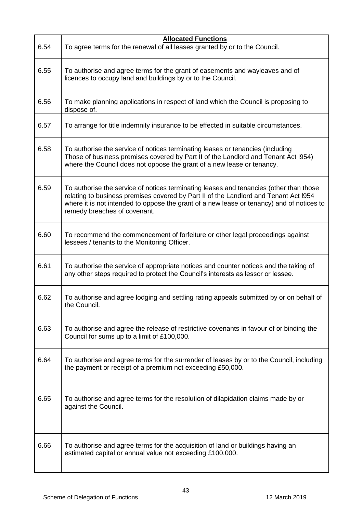|      | <b>Allocated Functions</b>                                                                                                                                                                                                                                                                                  |
|------|-------------------------------------------------------------------------------------------------------------------------------------------------------------------------------------------------------------------------------------------------------------------------------------------------------------|
| 6.54 | To agree terms for the renewal of all leases granted by or to the Council.                                                                                                                                                                                                                                  |
| 6.55 | To authorise and agree terms for the grant of easements and wayleaves and of<br>licences to occupy land and buildings by or to the Council.                                                                                                                                                                 |
| 6.56 | To make planning applications in respect of land which the Council is proposing to<br>dispose of.                                                                                                                                                                                                           |
| 6.57 | To arrange for title indemnity insurance to be effected in suitable circumstances.                                                                                                                                                                                                                          |
| 6.58 | To authorise the service of notices terminating leases or tenancies (including<br>Those of business premises covered by Part II of the Landlord and Tenant Act I954)<br>where the Council does not oppose the grant of a new lease or tenancy.                                                              |
| 6.59 | To authorise the service of notices terminating leases and tenancies (other than those<br>relating to business premises covered by Part II of the Landlord and Tenant Act I954<br>where it is not intended to oppose the grant of a new lease or tenancy) and of notices to<br>remedy breaches of covenant. |
| 6.60 | To recommend the commencement of forfeiture or other legal proceedings against<br>lessees / tenants to the Monitoring Officer.                                                                                                                                                                              |
| 6.61 | To authorise the service of appropriate notices and counter notices and the taking of<br>any other steps required to protect the Council's interests as lessor or lessee.                                                                                                                                   |
| 6.62 | To authorise and agree lodging and settling rating appeals submitted by or on behalf of<br>the Council.                                                                                                                                                                                                     |
| 6.63 | To authorise and agree the release of restrictive covenants in favour of or binding the<br>Council for sums up to a limit of £100,000.                                                                                                                                                                      |
| 6.64 | To authorise and agree terms for the surrender of leases by or to the Council, including<br>the payment or receipt of a premium not exceeding £50,000.                                                                                                                                                      |
| 6.65 | To authorise and agree terms for the resolution of dilapidation claims made by or<br>against the Council.                                                                                                                                                                                                   |
| 6.66 | To authorise and agree terms for the acquisition of land or buildings having an<br>estimated capital or annual value not exceeding £100,000.                                                                                                                                                                |